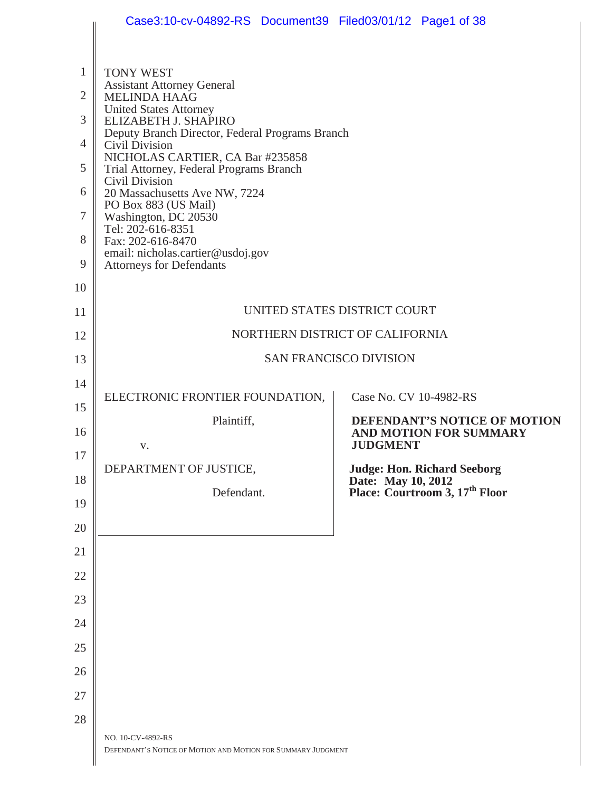|                                     | Case3:10-cv-04892-RS Document39 Filed03/01/12 Page1 of 38                                                                             |                                                                  |
|-------------------------------------|---------------------------------------------------------------------------------------------------------------------------------------|------------------------------------------------------------------|
| $\mathbf{1}$<br>$\overline{2}$<br>3 | <b>TONY WEST</b><br><b>Assistant Attorney General</b><br><b>MELINDA HAAG</b><br><b>United States Attorney</b><br>ELIZABETH J. SHAPIRO |                                                                  |
| $\overline{4}$                      | Deputy Branch Director, Federal Programs Branch<br>Civil Division                                                                     |                                                                  |
| 5                                   | NICHOLAS CARTIER, CA Bar #235858<br>Trial Attorney, Federal Programs Branch                                                           |                                                                  |
| 6                                   | <b>Civil Division</b><br>20 Massachusetts Ave NW, 7224                                                                                |                                                                  |
| $\tau$                              | PO Box 883 (US Mail)<br>Washington, DC 20530                                                                                          |                                                                  |
| 8                                   | Tel: 202-616-8351<br>Fax: 202-616-8470                                                                                                |                                                                  |
| 9                                   | email: nicholas.cartier@usdoj.gov<br><b>Attorneys for Defendants</b>                                                                  |                                                                  |
| 10                                  |                                                                                                                                       |                                                                  |
| 11                                  |                                                                                                                                       | UNITED STATES DISTRICT COURT                                     |
| 12                                  | NORTHERN DISTRICT OF CALIFORNIA                                                                                                       |                                                                  |
| 13                                  |                                                                                                                                       | <b>SAN FRANCISCO DIVISION</b>                                    |
| 14                                  | ELECTRONIC FRONTIER FOUNDATION,                                                                                                       | Case No. CV 10-4982-RS                                           |
| 15                                  | Plaintiff,                                                                                                                            | DEFENDANT'S NOTICE OF MOTION                                     |
| 16                                  | V.                                                                                                                                    | <b>AND MOTION FOR SUMMARY</b><br><b>JUDGMENT</b>                 |
| 17<br>18                            | DEPARTMENT OF JUSTICE,                                                                                                                | <b>Judge: Hon. Richard Seeborg</b>                               |
| 19                                  | Defendant.                                                                                                                            | Date: May 10, 2012<br>Place: Courtroom 3, 17 <sup>th</sup> Floor |
| 20                                  |                                                                                                                                       |                                                                  |
| 21                                  |                                                                                                                                       |                                                                  |
| 22                                  |                                                                                                                                       |                                                                  |
| 23                                  |                                                                                                                                       |                                                                  |
| 24                                  |                                                                                                                                       |                                                                  |
| 25                                  |                                                                                                                                       |                                                                  |
| 26                                  |                                                                                                                                       |                                                                  |
| 27                                  |                                                                                                                                       |                                                                  |
| 28                                  |                                                                                                                                       |                                                                  |
|                                     | NO. 10-CV-4892-RS<br>DEFENDANT'S NOTICE OF MOTION AND MOTION FOR SUMMARY JUDGMENT                                                     |                                                                  |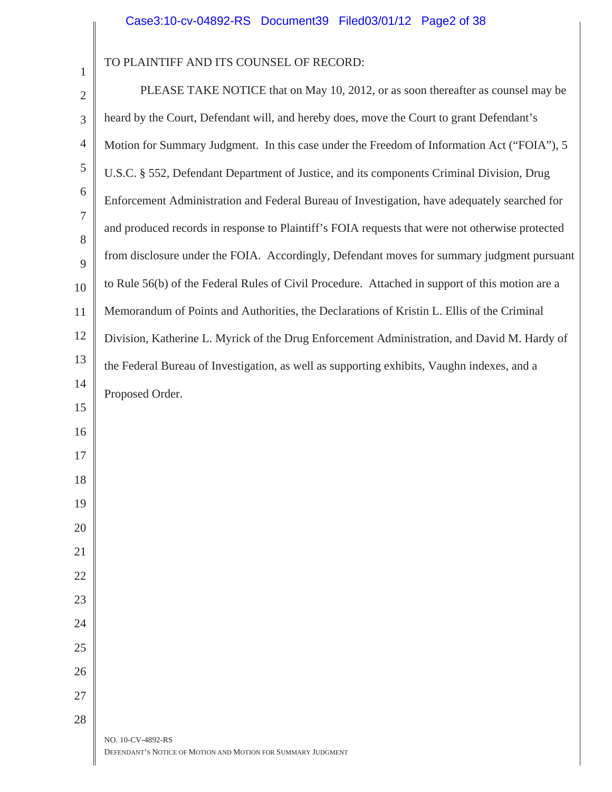# TO PLAINTIFF AND ITS COUNSEL OF RECORD:

| $\overline{2}$ | PLEASE TAKE NOTICE that on May 10, 2012, or as soon thereafter as counsel may be                |
|----------------|-------------------------------------------------------------------------------------------------|
| 3              | heard by the Court, Defendant will, and hereby does, move the Court to grant Defendant's        |
| $\overline{4}$ | Motion for Summary Judgment. In this case under the Freedom of Information Act ("FOIA"), 5      |
| 5              | U.S.C. § 552, Defendant Department of Justice, and its components Criminal Division, Drug       |
| 6              | Enforcement Administration and Federal Bureau of Investigation, have adequately searched for    |
| 7              | and produced records in response to Plaintiff's FOIA requests that were not otherwise protected |
| 8              | from disclosure under the FOIA. Accordingly, Defendant moves for summary judgment pursuant      |
| 9<br>10        | to Rule 56(b) of the Federal Rules of Civil Procedure. Attached in support of this motion are a |
| 11             | Memorandum of Points and Authorities, the Declarations of Kristin L. Ellis of the Criminal      |
| 12             | Division, Katherine L. Myrick of the Drug Enforcement Administration, and David M. Hardy of     |
| 13             | the Federal Bureau of Investigation, as well as supporting exhibits, Vaughn indexes, and a      |
| 14             | Proposed Order.                                                                                 |
| 15             |                                                                                                 |
| 16             |                                                                                                 |
| 17             |                                                                                                 |
| 18             |                                                                                                 |
| 19             |                                                                                                 |
| 20             |                                                                                                 |
| 21             |                                                                                                 |
| 22             |                                                                                                 |
| 23             |                                                                                                 |
| 24             |                                                                                                 |
| 25             |                                                                                                 |
| 26             |                                                                                                 |
| 27             |                                                                                                 |
| 28             |                                                                                                 |
|                | NO. 10-CV-4892-RS<br>DEFENDANT'S NOTICE OF MOTION AND MOTION FOR SUMMARY JUDGMENT               |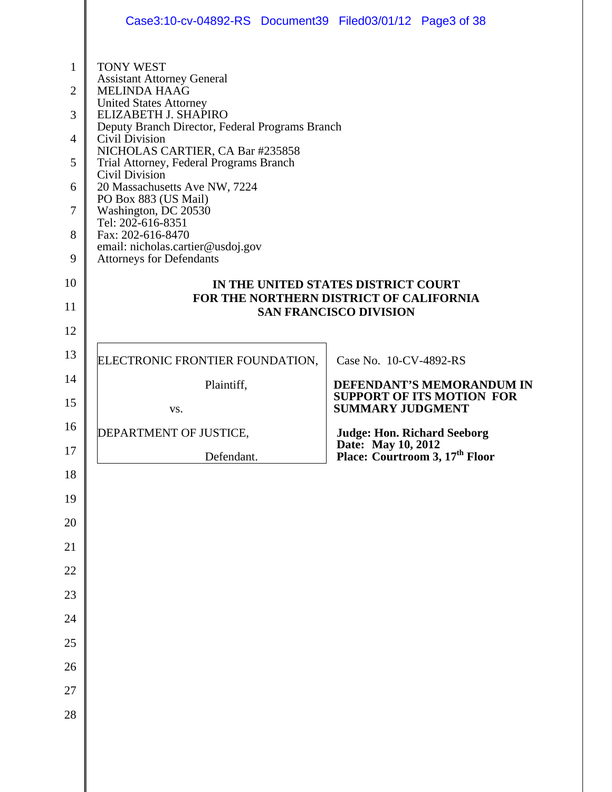|                                                                           | Case3:10-cv-04892-RS Document39 Filed03/01/12 Page3 of 38                                                                                                                                                                                                                                                                                                                                                                                                                                                             |                                                                                |
|---------------------------------------------------------------------------|-----------------------------------------------------------------------------------------------------------------------------------------------------------------------------------------------------------------------------------------------------------------------------------------------------------------------------------------------------------------------------------------------------------------------------------------------------------------------------------------------------------------------|--------------------------------------------------------------------------------|
| 1<br>$\overline{2}$<br>3<br>$\overline{4}$<br>5<br>6<br>7<br>8<br>9<br>10 | <b>TONY WEST</b><br><b>Assistant Attorney General</b><br><b>MELINDA HAAG</b><br><b>United States Attorney</b><br>ELIZABETH J. SHAPIRO<br>Deputy Branch Director, Federal Programs Branch<br>Civil Division<br>NICHOLAS CARTIER, CA Bar #235858<br>Trial Attorney, Federal Programs Branch<br><b>Civil Division</b><br>20 Massachusetts Ave NW, 7224<br>PO Box 883 (US Mail)<br>Washington, DC 20530<br>Tel: 202-616-8351<br>Fax: 202-616-8470<br>email: nicholas.cartier@usdoj.gov<br><b>Attorneys for Defendants</b> |                                                                                |
|                                                                           |                                                                                                                                                                                                                                                                                                                                                                                                                                                                                                                       | IN THE UNITED STATES DISTRICT COURT<br>FOR THE NORTHERN DISTRICT OF CALIFORNIA |
| 11                                                                        |                                                                                                                                                                                                                                                                                                                                                                                                                                                                                                                       | <b>SAN FRANCISCO DIVISION</b>                                                  |
| 12                                                                        |                                                                                                                                                                                                                                                                                                                                                                                                                                                                                                                       |                                                                                |
| 13                                                                        | ELECTRONIC FRONTIER FOUNDATION,                                                                                                                                                                                                                                                                                                                                                                                                                                                                                       | Case No. 10-CV-4892-RS                                                         |
| 14                                                                        | Plaintiff,                                                                                                                                                                                                                                                                                                                                                                                                                                                                                                            | DEFENDANT'S MEMORANDUM IN<br><b>SUPPORT OF ITS MOTION FOR</b>                  |
| 15                                                                        | VS.                                                                                                                                                                                                                                                                                                                                                                                                                                                                                                                   | <b>SUMMARY JUDGMENT</b>                                                        |
| 16                                                                        | DEPARTMENT OF JUSTICE,                                                                                                                                                                                                                                                                                                                                                                                                                                                                                                | <b>Judge: Hon. Richard Seeborg</b><br>Date: May 10, 2012                       |
| 17                                                                        | Defendant.                                                                                                                                                                                                                                                                                                                                                                                                                                                                                                            | Place: Courtroom 3, 17 <sup>th</sup> Floor                                     |
| 18<br>19                                                                  |                                                                                                                                                                                                                                                                                                                                                                                                                                                                                                                       |                                                                                |
| 20                                                                        |                                                                                                                                                                                                                                                                                                                                                                                                                                                                                                                       |                                                                                |
| 21                                                                        |                                                                                                                                                                                                                                                                                                                                                                                                                                                                                                                       |                                                                                |
| 22                                                                        |                                                                                                                                                                                                                                                                                                                                                                                                                                                                                                                       |                                                                                |
| 23                                                                        |                                                                                                                                                                                                                                                                                                                                                                                                                                                                                                                       |                                                                                |
| 24                                                                        |                                                                                                                                                                                                                                                                                                                                                                                                                                                                                                                       |                                                                                |
| 25                                                                        |                                                                                                                                                                                                                                                                                                                                                                                                                                                                                                                       |                                                                                |
| 26                                                                        |                                                                                                                                                                                                                                                                                                                                                                                                                                                                                                                       |                                                                                |
| 27                                                                        |                                                                                                                                                                                                                                                                                                                                                                                                                                                                                                                       |                                                                                |
| 28                                                                        |                                                                                                                                                                                                                                                                                                                                                                                                                                                                                                                       |                                                                                |
|                                                                           |                                                                                                                                                                                                                                                                                                                                                                                                                                                                                                                       |                                                                                |
|                                                                           |                                                                                                                                                                                                                                                                                                                                                                                                                                                                                                                       |                                                                                |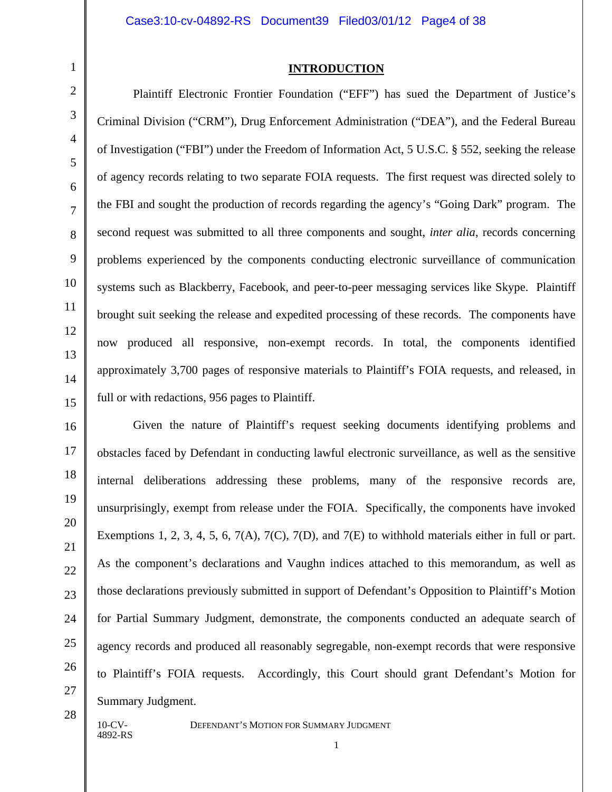#### **INTRODUCTION**

Plaintiff Electronic Frontier Foundation ("EFF") has sued the Department of Justice's Criminal Division ("CRM"), Drug Enforcement Administration ("DEA"), and the Federal Bureau of Investigation ("FBI") under the Freedom of Information Act, 5 U.S.C. § 552, seeking the release of agency records relating to two separate FOIA requests. The first request was directed solely to the FBI and sought the production of records regarding the agency's "Going Dark" program. The second request was submitted to all three components and sought, *inter alia*, records concerning problems experienced by the components conducting electronic surveillance of communication systems such as Blackberry, Facebook, and peer-to-peer messaging services like Skype. Plaintiff brought suit seeking the release and expedited processing of these records. The components have now produced all responsive, non-exempt records. In total, the components identified approximately 3,700 pages of responsive materials to Plaintiff's FOIA requests, and released, in full or with redactions, 956 pages to Plaintiff.

Given the nature of Plaintiff's request seeking documents identifying problems and obstacles faced by Defendant in conducting lawful electronic surveillance, as well as the sensitive internal deliberations addressing these problems, many of the responsive records are, unsurprisingly, exempt from release under the FOIA. Specifically, the components have invoked Exemptions 1, 2, 3, 4, 5, 6, 7(A), 7(C), 7(D), and 7(E) to withhold materials either in full or part. As the component's declarations and Vaughn indices attached to this memorandum, as well as those declarations previously submitted in support of Defendant's Opposition to Plaintiff's Motion for Partial Summary Judgment, demonstrate, the components conducted an adequate search of agency records and produced all reasonably segregable, non-exempt records that were responsive to Plaintiff's FOIA requests. Accordingly, this Court should grant Defendant's Motion for Summary Judgment.

28

1

2

3

4

5

6

7

8

9

10

11

12

13

14

15

16

17

18

19

20

21

22

23

24

25

26

27

4892-RS

10-CV- DEFENDANT'S MOTION FOR SUMMARY JUDGMENT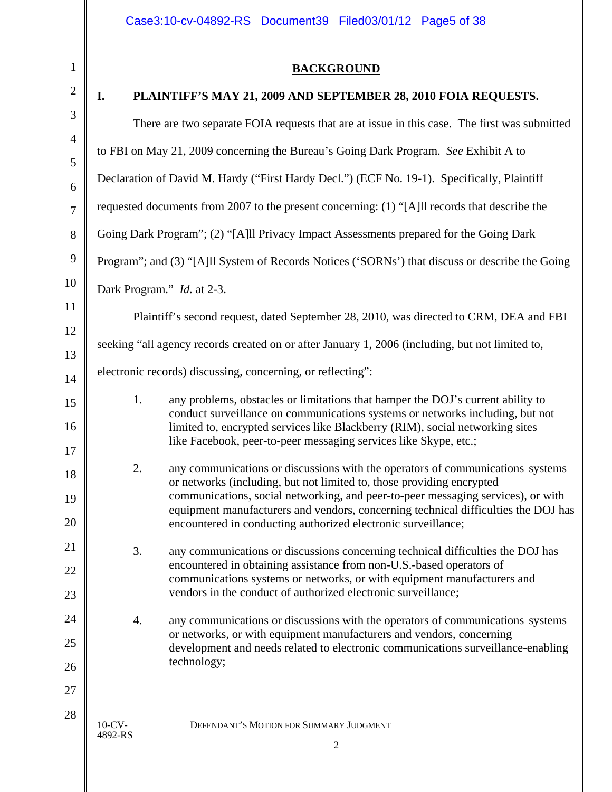#### 10-CV- DEFENDANT'S MOTION FOR SUMMARY JUDGMENT 4892-RS 2 1  $\mathfrak{D}$ 3 4 5 6 7 8 9 10 11 12 13 14 15 16 17 18 19 20 21 22 23  $24$ 25 26 27 28 **BACKGROUND I. PLAINTIFF'S MAY 21, 2009 AND SEPTEMBER 28, 2010 FOIA REQUESTS.**  There are two separate FOIA requests that are at issue in this case. The first was submitted to FBI on May 21, 2009 concerning the Bureau's Going Dark Program. *See* Exhibit A to Declaration of David M. Hardy ("First Hardy Decl.") (ECF No. 19-1). Specifically, Plaintiff requested documents from 2007 to the present concerning: (1) "[A]ll records that describe the Going Dark Program"; (2) "[A]ll Privacy Impact Assessments prepared for the Going Dark Program"; and (3) "[A]ll System of Records Notices ('SORNs') that discuss or describe the Going Dark Program." *Id.* at 2-3. Plaintiff's second request, dated September 28, 2010, was directed to CRM, DEA and FBI seeking "all agency records created on or after January 1, 2006 (including, but not limited to, electronic records) discussing, concerning, or reflecting": 1. any problems, obstacles or limitations that hamper the DOJ's current ability to conduct surveillance on communications systems or networks including, but not limited to, encrypted services like Blackberry (RIM), social networking sites like Facebook, peer-to-peer messaging services like Skype, etc.; 2. any communications or discussions with the operators of communications systems or networks (including, but not limited to, those providing encrypted communications, social networking, and peer-to-peer messaging services), or with equipment manufacturers and vendors, concerning technical difficulties the DOJ has encountered in conducting authorized electronic surveillance; 3. any communications or discussions concerning technical difficulties the DOJ has encountered in obtaining assistance from non-U.S.-based operators of communications systems or networks, or with equipment manufacturers and vendors in the conduct of authorized electronic surveillance; 4. any communications or discussions with the operators of communications systems or networks, or with equipment manufacturers and vendors, concerning development and needs related to electronic communications surveillance-enabling technology;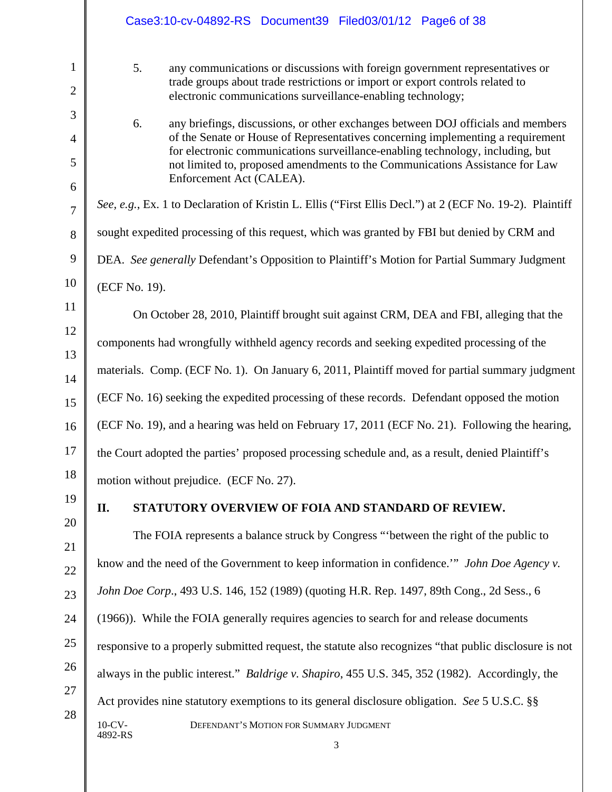|                                     | Case3:10-cv-04892-RS Document39 Filed03/01/12 Page6 of 38                                                                                                                                                                                                                                                                                                               |
|-------------------------------------|-------------------------------------------------------------------------------------------------------------------------------------------------------------------------------------------------------------------------------------------------------------------------------------------------------------------------------------------------------------------------|
| $\mathbf{1}$<br>$\overline{2}$<br>3 | 5.<br>any communications or discussions with foreign government representatives or<br>trade groups about trade restrictions or import or export controls related to<br>electronic communications surveillance-enabling technology;                                                                                                                                      |
| $\overline{4}$<br>5<br>6            | 6.<br>any briefings, discussions, or other exchanges between DOJ officials and members<br>of the Senate or House of Representatives concerning implementing a requirement<br>for electronic communications surveillance-enabling technology, including, but<br>not limited to, proposed amendments to the Communications Assistance for Law<br>Enforcement Act (CALEA). |
| $\overline{7}$                      | See, e.g., Ex. 1 to Declaration of Kristin L. Ellis ("First Ellis Decl.") at 2 (ECF No. 19-2). Plaintiff                                                                                                                                                                                                                                                                |
| 8                                   | sought expedited processing of this request, which was granted by FBI but denied by CRM and                                                                                                                                                                                                                                                                             |
| 9                                   | DEA. See generally Defendant's Opposition to Plaintiff's Motion for Partial Summary Judgment                                                                                                                                                                                                                                                                            |
| 10                                  | (ECF No. 19).                                                                                                                                                                                                                                                                                                                                                           |
| 11                                  | On October 28, 2010, Plaintiff brought suit against CRM, DEA and FBI, alleging that the                                                                                                                                                                                                                                                                                 |
| 12                                  | components had wrongfully withheld agency records and seeking expedited processing of the                                                                                                                                                                                                                                                                               |
| 13<br>14                            | materials. Comp. (ECF No. 1). On January 6, 2011, Plaintiff moved for partial summary judgment                                                                                                                                                                                                                                                                          |
| 15                                  | (ECF No. 16) seeking the expedited processing of these records. Defendant opposed the motion                                                                                                                                                                                                                                                                            |
| 16                                  | (ECF No. 19), and a hearing was held on February 17, 2011 (ECF No. 21). Following the hearing,                                                                                                                                                                                                                                                                          |
| 17                                  | the Court adopted the parties' proposed processing schedule and, as a result, denied Plaintiff's                                                                                                                                                                                                                                                                        |
| 18                                  | motion without prejudice. (ECF No. 27).                                                                                                                                                                                                                                                                                                                                 |
| 19                                  | STATUTORY OVERVIEW OF FOIA AND STANDARD OF REVIEW.<br>II.                                                                                                                                                                                                                                                                                                               |
| 20                                  | The FOIA represents a balance struck by Congress "between the right of the public to                                                                                                                                                                                                                                                                                    |
| 21<br>22                            | know and the need of the Government to keep information in confidence." John Doe Agency v.                                                                                                                                                                                                                                                                              |
| 23                                  | John Doe Corp., 493 U.S. 146, 152 (1989) (quoting H.R. Rep. 1497, 89th Cong., 2d Sess., 6                                                                                                                                                                                                                                                                               |
| 24                                  | (1966)). While the FOIA generally requires agencies to search for and release documents                                                                                                                                                                                                                                                                                 |
| 25                                  | responsive to a properly submitted request, the statute also recognizes "that public disclosure is not                                                                                                                                                                                                                                                                  |
| 26                                  | always in the public interest." <i>Baldrige v. Shapiro</i> , 455 U.S. 345, 352 (1982). Accordingly, the                                                                                                                                                                                                                                                                 |
| 27                                  | Act provides nine statutory exemptions to its general disclosure obligation. See 5 U.S.C. §§                                                                                                                                                                                                                                                                            |
| 28                                  | $10$ -CV-<br>DEFENDANT'S MOTION FOR SUMMARY JUDGMENT<br>4892-RS<br>3                                                                                                                                                                                                                                                                                                    |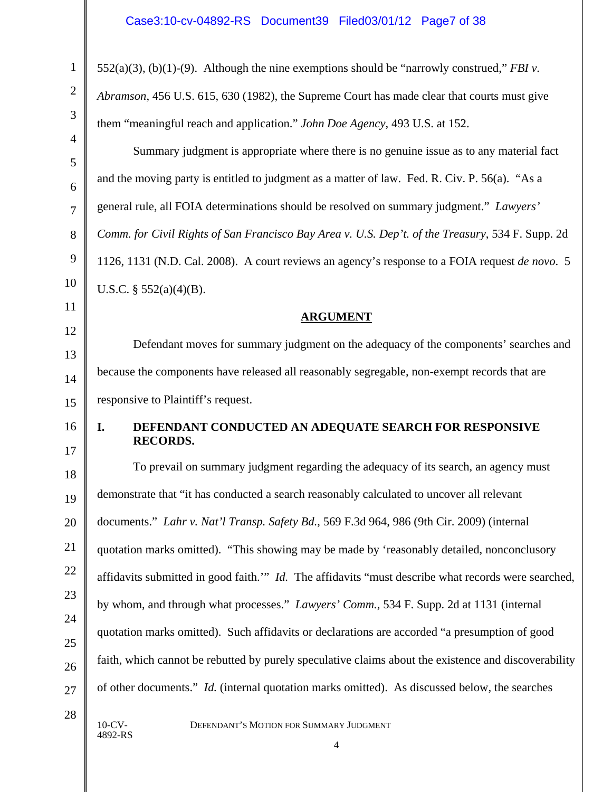552(a)(3), (b)(1)-(9). Although the nine exemptions should be "narrowly construed," *FBI v.* 

*Abramson*, 456 U.S. 615, 630 (1982), the Supreme Court has made clear that courts must give

them "meaningful reach and application." *John Doe Agency*, 493 U.S. at 152.

Summary judgment is appropriate where there is no genuine issue as to any material fact and the moving party is entitled to judgment as a matter of law. Fed. R. Civ. P. 56(a). "As a general rule, all FOIA determinations should be resolved on summary judgment." *Lawyers' Comm. for Civil Rights of San Francisco Bay Area v. U.S. Dep't. of the Treasury*, 534 F. Supp. 2d 1126, 1131 (N.D. Cal. 2008). A court reviews an agency's response to a FOIA request *de novo*. 5 U.S.C. §  $552(a)(4)(B)$ .

### **ARGUMENT**

Defendant moves for summary judgment on the adequacy of the components' searches and because the components have released all reasonably segregable, non-exempt records that are responsive to Plaintiff's request.

16

1

2

3

4

5

6

7

8

9

10

11

12

13

14

15

17

# **I. DEFENDANT CONDUCTED AN ADEQUATE SEARCH FOR RESPONSIVE RECORDS.**

18 19 20 21 22 23 24 25 26 27 To prevail on summary judgment regarding the adequacy of its search, an agency must demonstrate that "it has conducted a search reasonably calculated to uncover all relevant documents." *Lahr v. Nat'l Transp. Safety Bd.*, 569 F.3d 964, 986 (9th Cir. 2009) (internal quotation marks omitted). "This showing may be made by 'reasonably detailed, nonconclusory affidavits submitted in good faith.'" *Id.* The affidavits "must describe what records were searched, by whom, and through what processes." *Lawyers' Comm.*, 534 F. Supp. 2d at 1131 (internal quotation marks omitted). Such affidavits or declarations are accorded "a presumption of good faith, which cannot be rebutted by purely speculative claims about the existence and discoverability of other documents." *Id.* (internal quotation marks omitted). As discussed below, the searches

4892-RS

28

10-CV- DEFENDANT'S MOTION FOR SUMMARY JUDGMENT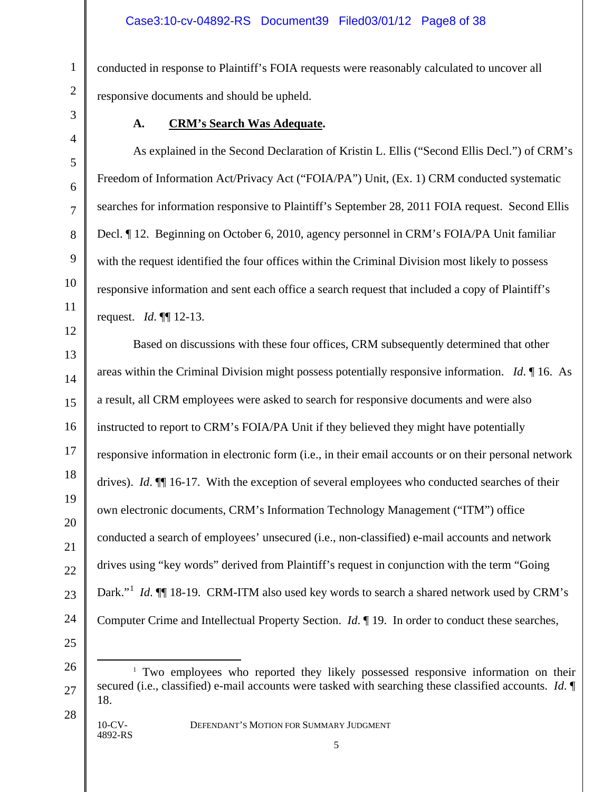conducted in response to Plaintiff's FOIA requests were reasonably calculated to uncover all responsive documents and should be upheld.

1

2

3

4

5

6

7

8

9

10

11

12

13

14

15

16

17

18

19

20

21

22

23

24

# **A. CRM's Search Was Adequate.**

As explained in the Second Declaration of Kristin L. Ellis ("Second Ellis Decl.") of CRM's Freedom of Information Act/Privacy Act ("FOIA/PA") Unit, (Ex. 1) CRM conducted systematic searches for information responsive to Plaintiff's September 28, 2011 FOIA request. Second Ellis Decl. ¶ 12. Beginning on October 6, 2010, agency personnel in CRM's FOIA/PA Unit familiar with the request identified the four offices within the Criminal Division most likely to possess responsive information and sent each office a search request that included a copy of Plaintiff's request. *Id*. ¶¶ 12-13.

Based on discussions with these four offices, CRM subsequently determined that other areas within the Criminal Division might possess potentially responsive information. *Id*. ¶ 16. As a result, all CRM employees were asked to search for responsive documents and were also instructed to report to CRM's FOIA/PA Unit if they believed they might have potentially responsive information in electronic form (i.e., in their email accounts or on their personal network drives). *Id*. ¶¶ 16-17. With the exception of several employees who conducted searches of their own electronic documents, CRM's Information Technology Management ("ITM") office conducted a search of employees' unsecured (i.e., non-classified) e-mail accounts and network drives using "key words" derived from Plaintiff's request in conjunction with the term "Going Dark."<sup>[1](#page-7-0)</sup> *Id*. ¶ 18-19. CRM-ITM also used key words to search a shared network used by CRM's Computer Crime and Intellectual Property Section. *Id*. ¶ 19. In order to conduct these searches,

25

<span id="page-7-0"></span>26

27

28

10-CV- DEFENDANT'S MOTION FOR SUMMARY JUDGMENT 4892-RS

<sup>&</sup>lt;sup>1</sup> Two employees who reported they likely possessed responsive information on their secured (i.e., classified) e-mail accounts were tasked with searching these classified accounts. *Id*. ¶ 18.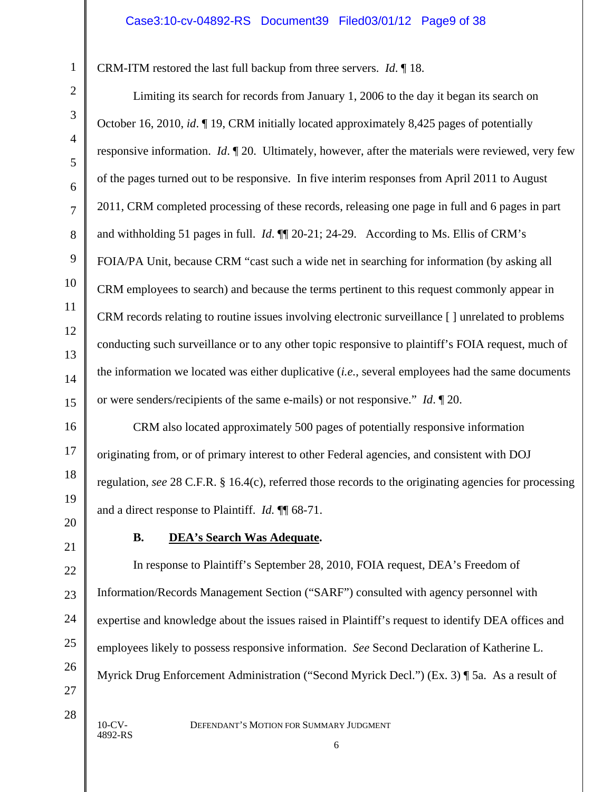CRM-ITM restored the last full backup from three servers. *Id*. ¶ 18.

Limiting its search for records from January 1, 2006 to the day it began its search on October 16, 2010, *id*. ¶ 19, CRM initially located approximately 8,425 pages of potentially responsive information. *Id*. ¶ 20. Ultimately, however, after the materials were reviewed, very few of the pages turned out to be responsive. In five interim responses from April 2011 to August 2011, CRM completed processing of these records, releasing one page in full and 6 pages in part and withholding 51 pages in full. *Id*. ¶¶ 20-21; 24-29. According to Ms. Ellis of CRM's FOIA/PA Unit, because CRM "cast such a wide net in searching for information (by asking all CRM employees to search) and because the terms pertinent to this request commonly appear in CRM records relating to routine issues involving electronic surveillance [ ] unrelated to problems conducting such surveillance or to any other topic responsive to plaintiff's FOIA request, much of the information we located was either duplicative (*i.e.*, several employees had the same documents or were senders/recipients of the same e-mails) or not responsive." *Id*. ¶ 20.

CRM also located approximately 500 pages of potentially responsive information originating from, or of primary interest to other Federal agencies, and consistent with DOJ regulation, *see* 28 C.F.R. § 16.4(c), referred those records to the originating agencies for processing and a direct response to Plaintiff. *Id.* ¶¶ 68-71.

4892-RS

# **B. DEA's Search Was Adequate.**

In response to Plaintiff's September 28, 2010, FOIA request, DEA's Freedom of Information/Records Management Section ("SARF") consulted with agency personnel with expertise and knowledge about the issues raised in Plaintiff's request to identify DEA offices and employees likely to possess responsive information. *See* Second Declaration of Katherine L. Myrick Drug Enforcement Administration ("Second Myrick Decl.") (Ex. 3) ¶ 5a. As a result of

10-CV- DEFENDANT'S MOTION FOR SUMMARY JUDGMENT

1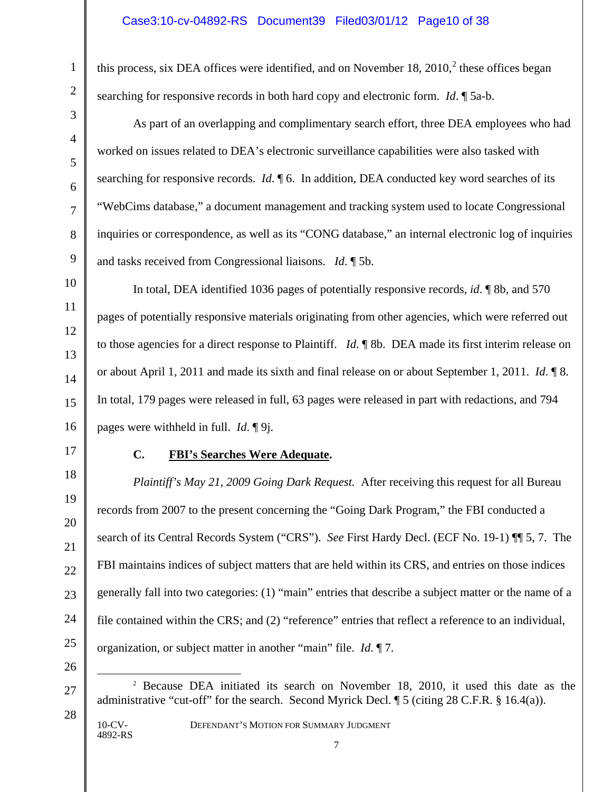this process, six DEA offices were identified, and on November 18,  $2010$  $2010$ ,  $2$  these offices began searching for responsive records in both hard copy and electronic form. *Id*. ¶ 5a-b.

As part of an overlapping and complimentary search effort, three DEA employees who had worked on issues related to DEA's electronic surveillance capabilities were also tasked with searching for responsive records. *Id*. ¶ 6. In addition, DEA conducted key word searches of its "WebCims database," a document management and tracking system used to locate Congressional inquiries or correspondence, as well as its "CONG database," an internal electronic log of inquiries and tasks received from Congressional liaisons. *Id*. ¶ 5b.

In total, DEA identified 1036 pages of potentially responsive records, *id*. ¶ 8b, and 570 pages of potentially responsive materials originating from other agencies, which were referred out to those agencies for a direct response to Plaintiff. *Id*. ¶ 8b. DEA made its first interim release on or about April 1, 2011 and made its sixth and final release on or about September 1, 2011. *Id*. ¶ 8. In total, 179 pages were released in full, 63 pages were released in part with redactions, and 794 pages were withheld in full. *Id*. ¶ 9j.

#### **C. FBI's Searches Were Adequate.**

*Plaintiff's May 21, 2009 Going Dark Request.* After receiving this request for all Bureau records from 2007 to the present concerning the "Going Dark Program," the FBI conducted a search of its Central Records System ("CRS"). *See* First Hardy Decl. (ECF No. 19-1) ¶¶ 5, 7. The FBI maintains indices of subject matters that are held within its CRS, and entries on those indices generally fall into two categories: (1) "main" entries that describe a subject matter or the name of a file contained within the CRS; and (2) "reference" entries that reflect a reference to an individual, organization, or subject matter in another "main" file. *Id*. ¶ 7.

26

<span id="page-9-0"></span>27

1

2

3

4

5

6

7

8

9

10

11

12

13

14

15

16

17

18

19

20

21

22

23

24

25

28

4892-RS

10-CV- DEFENDANT'S MOTION FOR SUMMARY JUDGMENT

 <sup>2</sup> Because DEA initiated its search on November 18, 2010, it used this date as the administrative "cut-off" for the search. Second Myrick Decl. ¶ 5 (citing 28 C.F.R. § 16.4(a)).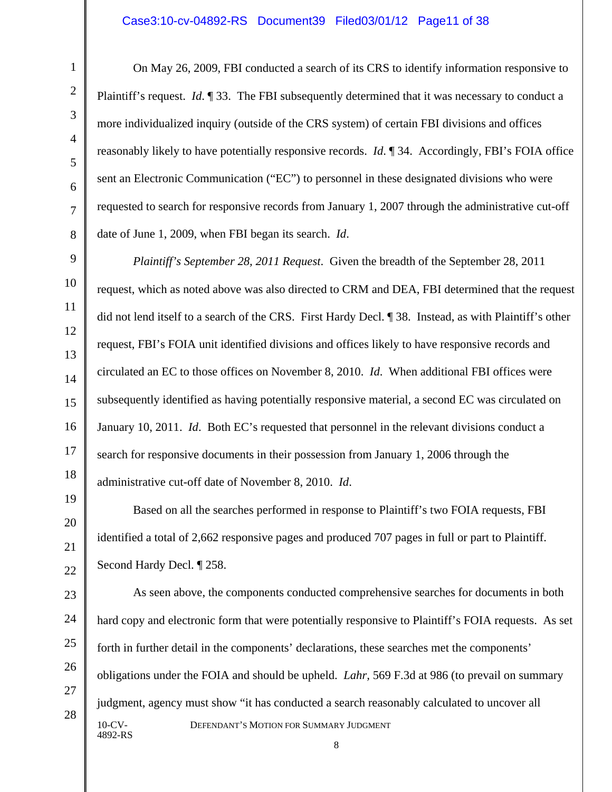On May 26, 2009, FBI conducted a search of its CRS to identify information responsive to Plaintiff's request. *Id*. ¶ 33. The FBI subsequently determined that it was necessary to conduct a more individualized inquiry (outside of the CRS system) of certain FBI divisions and offices reasonably likely to have potentially responsive records. *Id*. ¶ 34. Accordingly, FBI's FOIA office sent an Electronic Communication ("EC") to personnel in these designated divisions who were requested to search for responsive records from January 1, 2007 through the administrative cut-off date of June 1, 2009, when FBI began its search. *Id*.

*Plaintiff's September 28, 2011 Request*. Given the breadth of the September 28, 2011 request, which as noted above was also directed to CRM and DEA, FBI determined that the request did not lend itself to a search of the CRS. First Hardy Decl. ¶ 38. Instead, as with Plaintiff's other request, FBI's FOIA unit identified divisions and offices likely to have responsive records and circulated an EC to those offices on November 8, 2010. *Id*. When additional FBI offices were subsequently identified as having potentially responsive material, a second EC was circulated on January 10, 2011. *Id*. Both EC's requested that personnel in the relevant divisions conduct a search for responsive documents in their possession from January 1, 2006 through the administrative cut-off date of November 8, 2010. *Id*.

Based on all the searches performed in response to Plaintiff's two FOIA requests, FBI identified a total of 2,662 responsive pages and produced 707 pages in full or part to Plaintiff. Second Hardy Decl. ¶ 258.

10-CV- DEFENDANT'S MOTION FOR SUMMARY JUDGMENT 4892-RS As seen above, the components conducted comprehensive searches for documents in both hard copy and electronic form that were potentially responsive to Plaintiff's FOIA requests. As set forth in further detail in the components' declarations, these searches met the components' obligations under the FOIA and should be upheld. *Lahr,* 569 F.3d at 986 (to prevail on summary judgment, agency must show "it has conducted a search reasonably calculated to uncover all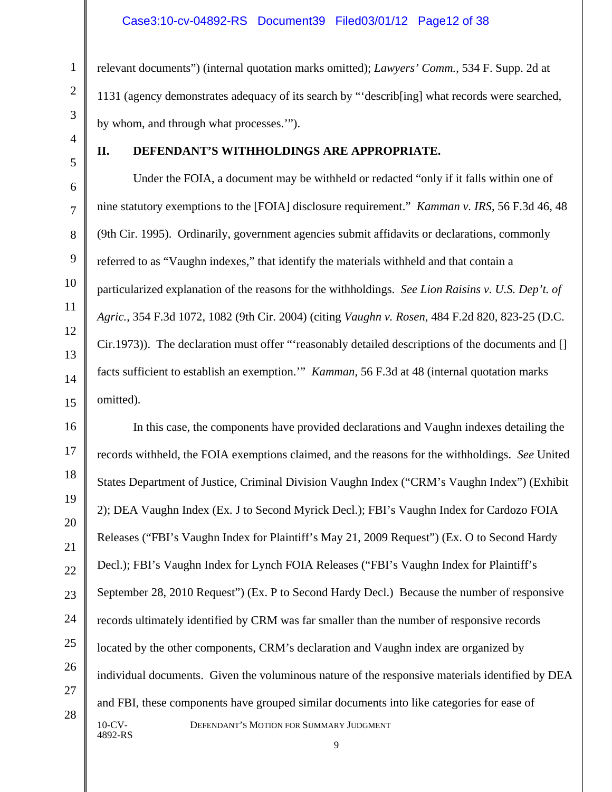relevant documents") (internal quotation marks omitted); *Lawyers' Comm.*, 534 F. Supp. 2d at 1131 (agency demonstrates adequacy of its search by "'describ[ing] what records were searched, by whom, and through what processes.'").

#### **II. DEFENDANT'S WITHHOLDINGS ARE APPROPRIATE.**

Under the FOIA, a document may be withheld or redacted "only if it falls within one of nine statutory exemptions to the [FOIA] disclosure requirement." *Kamman v. IRS*, 56 F.3d 46, 48 (9th Cir. 1995). Ordinarily, government agencies submit affidavits or declarations, commonly referred to as "Vaughn indexes," that identify the materials withheld and that contain a particularized explanation of the reasons for the withholdings. *See Lion Raisins v. U.S. Dep't. of Agric.*, 354 F.3d 1072, 1082 (9th Cir. 2004) (citing *Vaughn v. Rosen*, 484 F.2d 820, 823-25 (D.C. Cir.1973)). The declaration must offer "'reasonably detailed descriptions of the documents and [] facts sufficient to establish an exemption.'" *Kamman*, 56 F.3d at 48 (internal quotation marks omitted)*.*

10-CV- DEFENDANT'S MOTION FOR SUMMARY JUDGMENT 4892-RS In this case, the components have provided declarations and Vaughn indexes detailing the records withheld, the FOIA exemptions claimed, and the reasons for the withholdings. *See* United States Department of Justice, Criminal Division Vaughn Index ("CRM's Vaughn Index") (Exhibit 2); DEA Vaughn Index (Ex. J to Second Myrick Decl.); FBI's Vaughn Index for Cardozo FOIA Releases ("FBI's Vaughn Index for Plaintiff's May 21, 2009 Request") (Ex. O to Second Hardy Decl.); FBI's Vaughn Index for Lynch FOIA Releases ("FBI's Vaughn Index for Plaintiff's September 28, 2010 Request") (Ex. P to Second Hardy Decl.) Because the number of responsive records ultimately identified by CRM was far smaller than the number of responsive records located by the other components, CRM's declaration and Vaughn index are organized by individual documents. Given the voluminous nature of the responsive materials identified by DEA and FBI, these components have grouped similar documents into like categories for ease of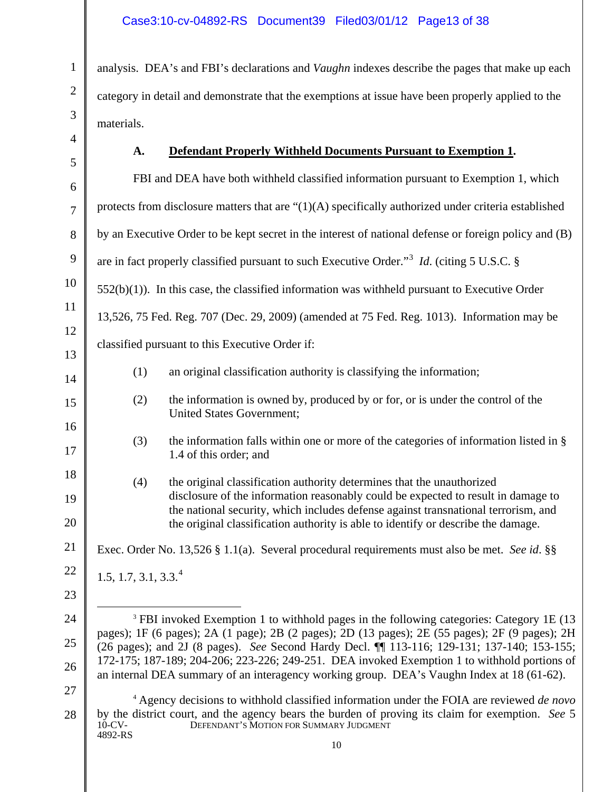analysis. DEA's and FBI's declarations and *Vaughn* indexes describe the pages that make up each category in detail and demonstrate that the exemptions at issue have been properly applied to the materials.

# **A. Defendant Properly Withheld Documents Pursuant to Exemption 1.**

<span id="page-12-1"></span><span id="page-12-0"></span>

| 5                                             |                                                                                                                                                                                                                                                                                                                                                                                                                                                                                                     | FBI and DEA have both withheld classified information pursuant to Exemption 1, which                                                                                                                                                                                                                                                   |
|-----------------------------------------------|-----------------------------------------------------------------------------------------------------------------------------------------------------------------------------------------------------------------------------------------------------------------------------------------------------------------------------------------------------------------------------------------------------------------------------------------------------------------------------------------------------|----------------------------------------------------------------------------------------------------------------------------------------------------------------------------------------------------------------------------------------------------------------------------------------------------------------------------------------|
| $\overline{1}$                                |                                                                                                                                                                                                                                                                                                                                                                                                                                                                                                     | protects from disclosure matters that are $\lq(1)(A)$ specifically authorized under criteria established                                                                                                                                                                                                                               |
| $\mathbf{\hat{S}}$                            |                                                                                                                                                                                                                                                                                                                                                                                                                                                                                                     | by an Executive Order to be kept secret in the interest of national defense or foreign policy and (B)                                                                                                                                                                                                                                  |
| $\mathfrak z$                                 |                                                                                                                                                                                                                                                                                                                                                                                                                                                                                                     | are in fact properly classified pursuant to such Executive Order." <sup>3</sup> <i>Id.</i> (citing 5 U.S.C. §                                                                                                                                                                                                                          |
| $\mathfrak{g}$                                |                                                                                                                                                                                                                                                                                                                                                                                                                                                                                                     | $552(b)(1)$ ). In this case, the classified information was withheld pursuant to Executive Order                                                                                                                                                                                                                                       |
|                                               |                                                                                                                                                                                                                                                                                                                                                                                                                                                                                                     | 13,526, 75 Fed. Reg. 707 (Dec. 29, 2009) (amended at 75 Fed. Reg. 1013). Information may be                                                                                                                                                                                                                                            |
| $\overline{2}$                                |                                                                                                                                                                                                                                                                                                                                                                                                                                                                                                     | classified pursuant to this Executive Order if:                                                                                                                                                                                                                                                                                        |
| $\mathbf{3}$<br>1                             | (1)                                                                                                                                                                                                                                                                                                                                                                                                                                                                                                 | an original classification authority is classifying the information;                                                                                                                                                                                                                                                                   |
| $\overline{5}$                                | (2)                                                                                                                                                                                                                                                                                                                                                                                                                                                                                                 | the information is owned by, produced by or for, or is under the control of the<br><b>United States Government;</b>                                                                                                                                                                                                                    |
| 5                                             | (3)                                                                                                                                                                                                                                                                                                                                                                                                                                                                                                 | the information falls within one or more of the categories of information listed in §<br>1.4 of this order; and                                                                                                                                                                                                                        |
| $\overline{\mathbf{S}}$<br>)<br>$\mathfrak z$ | (4)                                                                                                                                                                                                                                                                                                                                                                                                                                                                                                 | the original classification authority determines that the unauthorized<br>disclosure of the information reasonably could be expected to result in damage to<br>the national security, which includes defense against transnational terrorism, and<br>the original classification authority is able to identify or describe the damage. |
|                                               |                                                                                                                                                                                                                                                                                                                                                                                                                                                                                                     | Exec. Order No. 13,526 § 1.1(a). Several procedural requirements must also be met. See id. §§                                                                                                                                                                                                                                          |
| $\overline{c}$                                | 1.5, 1.7, 3.1, 3.3. <sup>4</sup>                                                                                                                                                                                                                                                                                                                                                                                                                                                                    |                                                                                                                                                                                                                                                                                                                                        |
| $\overline{\mathbf{3}}$                       |                                                                                                                                                                                                                                                                                                                                                                                                                                                                                                     |                                                                                                                                                                                                                                                                                                                                        |
|                                               | <sup>3</sup> FBI invoked Exemption 1 to withhold pages in the following categories: Category 1E (13<br>pages); 1F (6 pages); 2A (1 page); 2B (2 pages); 2D (13 pages); 2E (55 pages); 2F (9 pages); 2H<br>(26 pages); and 2J (8 pages). See Second Hardy Decl. II 113-116; 129-131; 137-140; 153-155;<br>172-175; 187-189; 204-206; 223-226; 249-251. DEA invoked Exemption 1 to withhold portions of<br>an internal DEA summary of an interagency working group. DEA's Vaughn Index at 18 (61-62). |                                                                                                                                                                                                                                                                                                                                        |
| Ś                                             | $10$ -CV-<br>4892-RS                                                                                                                                                                                                                                                                                                                                                                                                                                                                                | <sup>4</sup> Agency decisions to withhold classified information under the FOIA are reviewed de novo<br>by the district court, and the agency bears the burden of proving its claim for exemption. See 5<br>DEFENDANT'S MOTION FOR SUMMARY JUDGMENT                                                                                    |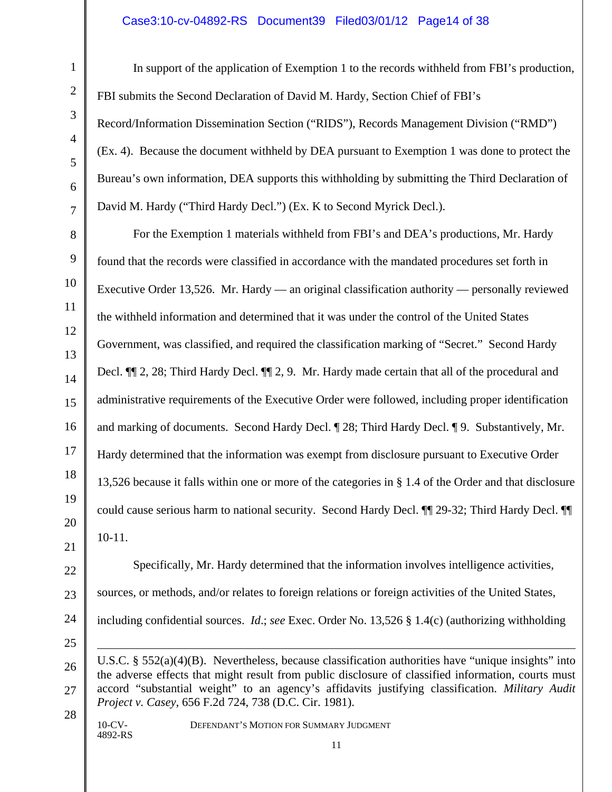### Case3:10-cv-04892-RS Document39 Filed03/01/12 Page14 of 38

In support of the application of Exemption 1 to the records withheld from FBI's production, FBI submits the Second Declaration of David M. Hardy, Section Chief of FBI's Record/Information Dissemination Section ("RIDS"), Records Management Division ("RMD") (Ex. 4). Because the document withheld by DEA pursuant to Exemption 1 was done to protect the Bureau's own information, DEA supports this withholding by submitting the Third Declaration of David M. Hardy ("Third Hardy Decl.") (Ex. K to Second Myrick Decl.).

For the Exemption 1 materials withheld from FBI's and DEA's productions, Mr. Hardy found that the records were classified in accordance with the mandated procedures set forth in Executive Order 13,526. Mr. Hardy — an original classification authority — personally reviewed the withheld information and determined that it was under the control of the United States Government, was classified, and required the classification marking of "Secret." Second Hardy Decl. ¶¶ 2, 28; Third Hardy Decl. ¶¶ 2, 9. Mr. Hardy made certain that all of the procedural and administrative requirements of the Executive Order were followed, including proper identification and marking of documents. Second Hardy Decl. ¶ 28; Third Hardy Decl. ¶ 9. Substantively, Mr. Hardy determined that the information was exempt from disclosure pursuant to Executive Order 13,526 because it falls within one or more of the categories in § 1.4 of the Order and that disclosure could cause serious harm to national security. Second Hardy Decl. ¶¶ 29-32; Third Hardy Decl. ¶¶ 10-11.

4892-RS

 $\overline{a}$ 

10-CV- DEFENDANT'S MOTION FOR SUMMARY JUDGMENT

*Project v. Casey*, 656 F.2d 724, 738 (D.C. Cir. 1981).

11

Specifically, Mr. Hardy determined that the information involves intelligence activities,

sources, or methods, and/or relates to foreign relations or foreign activities of the United States,

including confidential sources. *Id*.; *see* Exec. Order No. 13,526 § 1.4(c) (authorizing withholding

U.S.C. § 552(a)(4)(B). Nevertheless, because classification authorities have "unique insights" into the adverse effects that might result from public disclosure of classified information, courts must accord "substantial weight" to an agency's affidavits justifying classification. *Military Audit*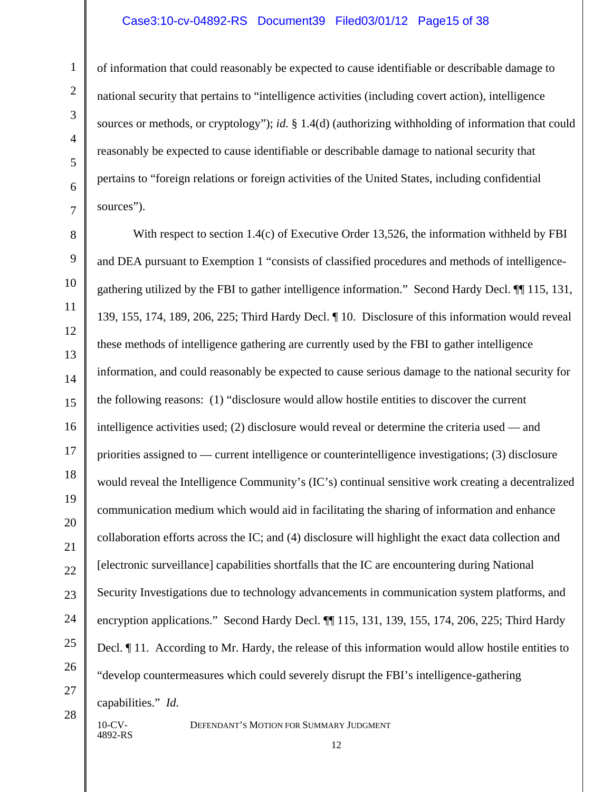#### Case3:10-cv-04892-RS Document39 Filed03/01/12 Page15 of 38

of information that could reasonably be expected to cause identifiable or describable damage to national security that pertains to "intelligence activities (including covert action), intelligence sources or methods, or cryptology"); *id.* § 1.4(d) (authorizing withholding of information that could reasonably be expected to cause identifiable or describable damage to national security that pertains to "foreign relations or foreign activities of the United States, including confidential sources").

With respect to section 1.4(c) of Executive Order 13,526, the information withheld by FBI and DEA pursuant to Exemption 1 "consists of classified procedures and methods of intelligencegathering utilized by the FBI to gather intelligence information." Second Hardy Decl. ¶¶ 115, 131, 139, 155, 174, 189, 206, 225; Third Hardy Decl. ¶ 10. Disclosure of this information would reveal these methods of intelligence gathering are currently used by the FBI to gather intelligence information, and could reasonably be expected to cause serious damage to the national security for the following reasons: (1) "disclosure would allow hostile entities to discover the current intelligence activities used; (2) disclosure would reveal or determine the criteria used — and priorities assigned to — current intelligence or counterintelligence investigations; (3) disclosure would reveal the Intelligence Community's (IC's) continual sensitive work creating a decentralized communication medium which would aid in facilitating the sharing of information and enhance collaboration efforts across the IC; and (4) disclosure will highlight the exact data collection and [electronic surveillance] capabilities shortfalls that the IC are encountering during National Security Investigations due to technology advancements in communication system platforms, and encryption applications." Second Hardy Decl. ¶¶ 115, 131, 139, 155, 174, 206, 225; Third Hardy Decl.  $\llbracket$  11. According to Mr. Hardy, the release of this information would allow hostile entities to "develop countermeasures which could severely disrupt the FBI's intelligence-gathering capabilities." *Id*.

4892-RS

1

2

3

4

5

6

7

8

9

10

11

12

13

14

15

16

17

18

19

20

21

22

23

24

25

26

27

28

10-CV- DEFENDANT'S MOTION FOR SUMMARY JUDGMENT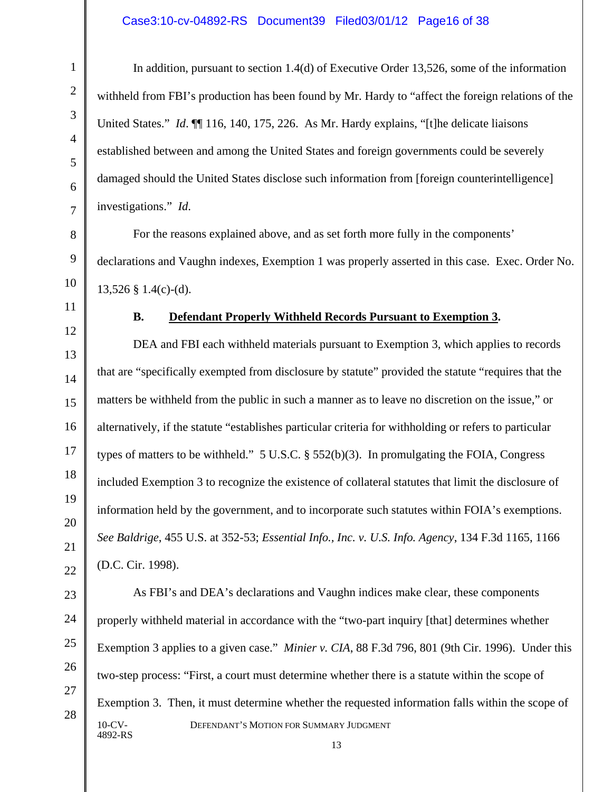### Case3:10-cv-04892-RS Document39 Filed03/01/12 Page16 of 38

In addition, pursuant to section 1.4(d) of Executive Order 13,526, some of the information withheld from FBI's production has been found by Mr. Hardy to "affect the foreign relations of the United States." *Id.*  $\P\P$  116, 140, 175, 226. As Mr. Hardy explains, "[t]he delicate liaisons established between and among the United States and foreign governments could be severely damaged should the United States disclose such information from [foreign counterintelligence] investigations." *Id*.

For the reasons explained above, and as set forth more fully in the components' declarations and Vaughn indexes, Exemption 1 was properly asserted in this case. Exec. Order No.  $13,526 \text{ }$  \$ 1.4(c)-(d).

# **B. Defendant Properly Withheld Records Pursuant to Exemption 3.**

DEA and FBI each withheld materials pursuant to Exemption 3, which applies to records that are "specifically exempted from disclosure by statute" provided the statute "requires that the matters be withheld from the public in such a manner as to leave no discretion on the issue," or alternatively, if the statute "establishes particular criteria for withholding or refers to particular types of matters to be withheld."  $5 \text{ U.S.C.}$  §  $552(b)(3)$ . In promulgating the FOIA, Congress included Exemption 3 to recognize the existence of collateral statutes that limit the disclosure of information held by the government, and to incorporate such statutes within FOIA's exemptions. *See Baldrige*, 455 U.S. at 352-53; *Essential Info., Inc. v. U.S. Info. Agency*, 134 F.3d 1165, 1166 (D.C. Cir. 1998).

10-CV- DEFENDANT'S MOTION FOR SUMMARY JUDGMENT 4892-RS As FBI's and DEA's declarations and Vaughn indices make clear, these components properly withheld material in accordance with the "two-part inquiry [that] determines whether Exemption 3 applies to a given case." *Minier v. CIA*, 88 F.3d 796, 801 (9th Cir. 1996). Under this two-step process: "First, a court must determine whether there is a statute within the scope of Exemption 3. Then, it must determine whether the requested information falls within the scope of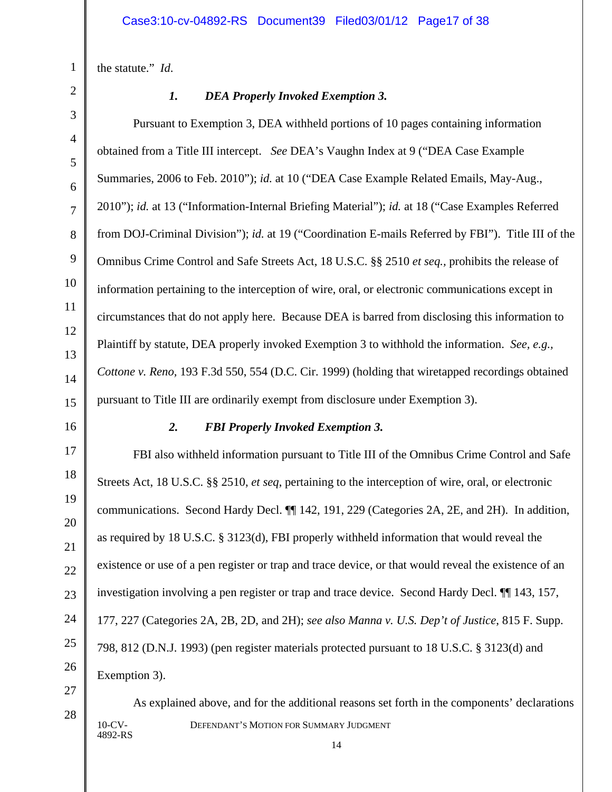the statute." *Id*.

# 1 2 3 4 5 6 7 8 9 10 11 12 13 14 15 16

# *1. DEA Properly Invoked Exemption 3.*

Pursuant to Exemption 3, DEA withheld portions of 10 pages containing information obtained from a Title III intercept. *See* DEA's Vaughn Index at 9 ("DEA Case Example Summaries, 2006 to Feb. 2010"); *id.* at 10 ("DEA Case Example Related Emails, May-Aug., 2010"); *id.* at 13 ("Information-Internal Briefing Material"); *id.* at 18 ("Case Examples Referred from DOJ-Criminal Division"); *id.* at 19 ("Coordination E-mails Referred by FBI"). Title III of the Omnibus Crime Control and Safe Streets Act, 18 U.S.C. §§ 2510 *et seq.,* prohibits the release of information pertaining to the interception of wire, oral, or electronic communications except in circumstances that do not apply here. Because DEA is barred from disclosing this information to Plaintiff by statute, DEA properly invoked Exemption 3 to withhold the information. *See, e.g., Cottone v. Reno,* 193 F.3d 550, 554 (D.C. Cir. 1999) (holding that wiretapped recordings obtained pursuant to Title III are ordinarily exempt from disclosure under Exemption 3).

17

18

19

20

21

22

23

24

25

26

# *2. FBI Properly Invoked Exemption 3.*

FBI also withheld information pursuant to Title III of the Omnibus Crime Control and Safe Streets Act, 18 U.S.C. §§ 2510, *et seq*, pertaining to the interception of wire, oral, or electronic communications. Second Hardy Decl. ¶¶ 142, 191, 229 (Categories 2A, 2E, and 2H). In addition, as required by 18 U.S.C. § 3123(d), FBI properly withheld information that would reveal the existence or use of a pen register or trap and trace device, or that would reveal the existence of an investigation involving a pen register or trap and trace device. Second Hardy Decl. ¶¶ 143, 157, 177, 227 (Categories 2A, 2B, 2D, and 2H); *see also Manna v. U.S. Dep't of Justice*, 815 F. Supp. 798, 812 (D.N.J. 1993) (pen register materials protected pursuant to 18 U.S.C. § 3123(d) and Exemption 3).

27 28

10-CV- DEFENDANT'S MOTION FOR SUMMARY JUDGMENT 4892-RS As explained above, and for the additional reasons set forth in the components' declarations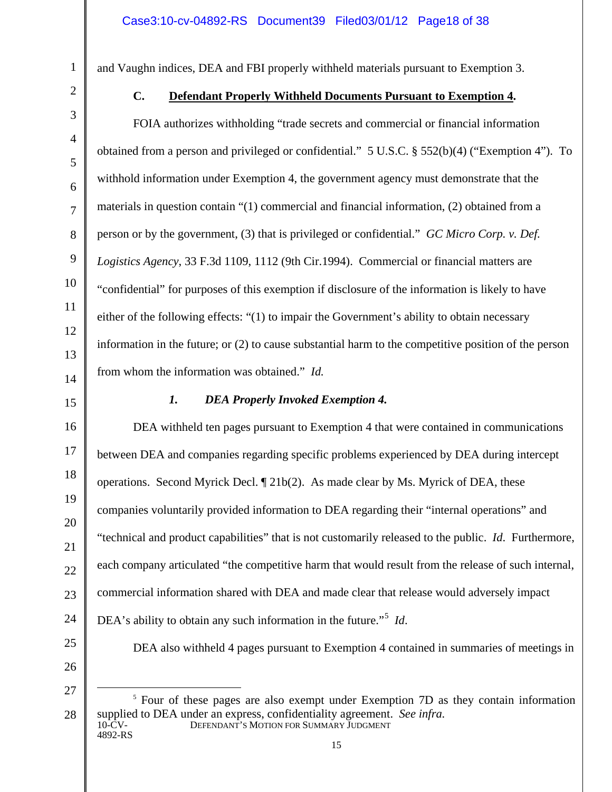and Vaughn indices, DEA and FBI properly withheld materials pursuant to Exemption 3.

1

2

3

4

5

6

7

8

9

10

11

12

13

14

16

17

18

19

20

21

22

23

24

# **C. Defendant Properly Withheld Documents Pursuant to Exemption 4.**

FOIA authorizes withholding "trade secrets and commercial or financial information obtained from a person and privileged or confidential." 5 U.S.C. § 552(b)(4) ("Exemption 4"). To withhold information under Exemption 4, the government agency must demonstrate that the materials in question contain "(1) commercial and financial information, (2) obtained from a person or by the government, (3) that is privileged or confidential." *GC Micro Corp. v. Def. Logistics Agency*, 33 F.3d 1109, 1112 (9th Cir.1994). Commercial or financial matters are "confidential" for purposes of this exemption if disclosure of the information is likely to have either of the following effects: "(1) to impair the Government's ability to obtain necessary information in the future; or (2) to cause substantial harm to the competitive position of the person from whom the information was obtained." *Id.*

15

### *1. DEA Properly Invoked Exemption 4.*

DEA withheld ten pages pursuant to Exemption 4 that were contained in communications between DEA and companies regarding specific problems experienced by DEA during intercept operations. Second Myrick Decl. ¶ 21b(2). As made clear by Ms. Myrick of DEA, these companies voluntarily provided information to DEA regarding their "internal operations" and "technical and product capabilities" that is not customarily released to the public. *Id*. Furthermore, each company articulated "the competitive harm that would result from the release of such internal, commercial information shared with DEA and made clear that release would adversely impact DEA's ability to obtain any such information in the future."[5](#page-17-0) *Id*.

25

26 27

<span id="page-17-0"></span>28

10-CV- DEFENDANT'S MOTION FOR SUMMARY JUDGMENT 4892-RS <sup>5</sup> Four of these pages are also exempt under Exemption 7D as they contain information supplied to DEA under an express, confidentiality agreement. *See infra.*

DEA also withheld 4 pages pursuant to Exemption 4 contained in summaries of meetings in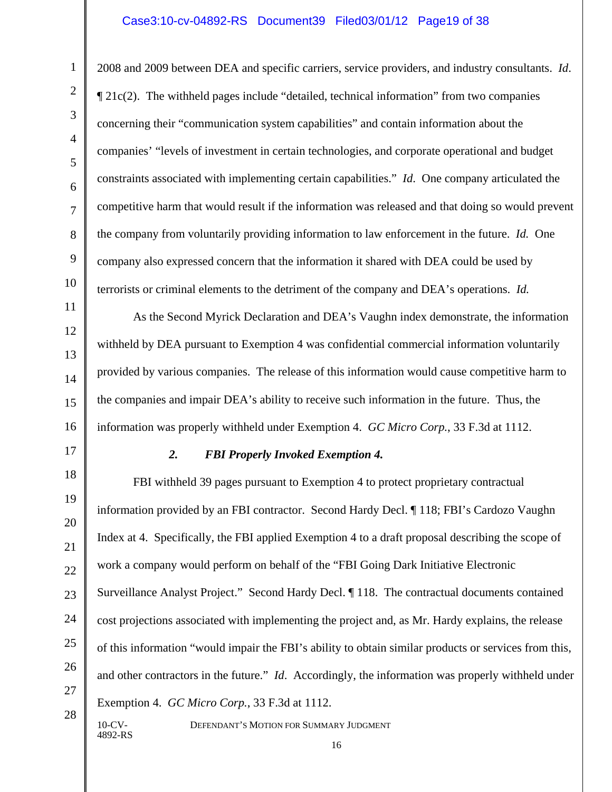#### Case3:10-cv-04892-RS Document39 Filed03/01/12 Page19 of 38

2008 and 2009 between DEA and specific carriers, service providers, and industry consultants. *Id*. ¶ 21c(2). The withheld pages include "detailed, technical information" from two companies concerning their "communication system capabilities" and contain information about the companies' "levels of investment in certain technologies, and corporate operational and budget constraints associated with implementing certain capabilities." *Id*. One company articulated the competitive harm that would result if the information was released and that doing so would prevent the company from voluntarily providing information to law enforcement in the future. *Id.* One company also expressed concern that the information it shared with DEA could be used by terrorists or criminal elements to the detriment of the company and DEA's operations. *Id.*

As the Second Myrick Declaration and DEA's Vaughn index demonstrate, the information withheld by DEA pursuant to Exemption 4 was confidential commercial information voluntarily provided by various companies. The release of this information would cause competitive harm to the companies and impair DEA's ability to receive such information in the future. Thus, the information was properly withheld under Exemption 4. *GC Micro Corp.*, 33 F.3d at 1112.

4892-RS

#### *2. FBI Properly Invoked Exemption 4.*

FBI withheld 39 pages pursuant to Exemption 4 to protect proprietary contractual information provided by an FBI contractor. Second Hardy Decl. ¶ 118; FBI's Cardozo Vaughn Index at 4. Specifically, the FBI applied Exemption 4 to a draft proposal describing the scope of work a company would perform on behalf of the "FBI Going Dark Initiative Electronic Surveillance Analyst Project." Second Hardy Decl. ¶ 118. The contractual documents contained cost projections associated with implementing the project and, as Mr. Hardy explains, the release of this information "would impair the FBI's ability to obtain similar products or services from this, and other contractors in the future." *Id*. Accordingly, the information was properly withheld under Exemption 4. *GC Micro Corp.*, 33 F.3d at 1112.

10-CV- DEFENDANT'S MOTION FOR SUMMARY JUDGMENT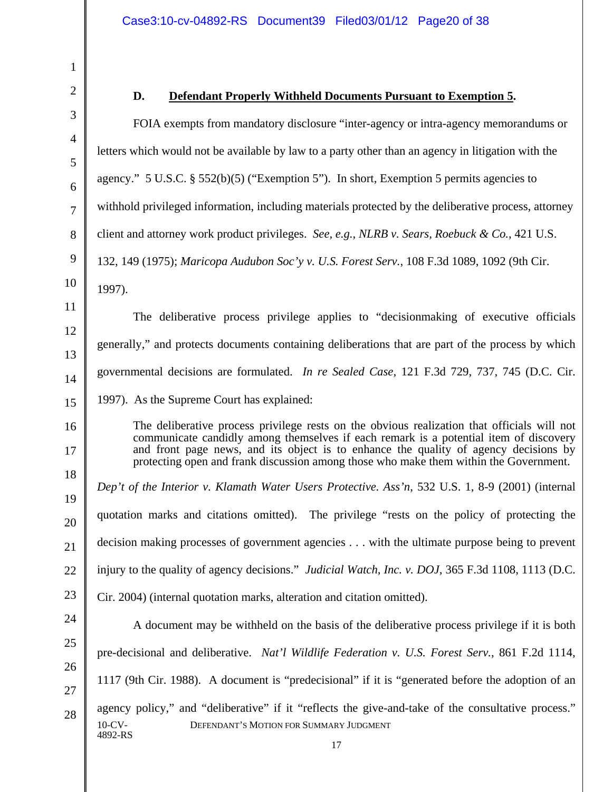#### **D. Defendant Properly Withheld Documents Pursuant to Exemption 5.**

FOIA exempts from mandatory disclosure "inter-agency or intra-agency memorandums or letters which would not be available by law to a party other than an agency in litigation with the agency." 5 U.S.C. § 552(b)(5) ("Exemption 5"). In short, Exemption 5 permits agencies to withhold privileged information, including materials protected by the deliberative process, attorney client and attorney work product privileges. *See, e.g.*, *NLRB v. Sears, Roebuck & Co.*, 421 U.S. 132, 149 (1975); *Maricopa Audubon Soc'y v. U.S. Forest Serv.*, 108 F.3d 1089, 1092 (9th Cir. 1997).

The deliberative process privilege applies to "decisionmaking of executive officials generally," and protects documents containing deliberations that are part of the process by which governmental decisions are formulated. *In re Sealed Case*, 121 F.3d 729, 737, 745 (D.C. Cir. 1997). As the Supreme Court has explained:

The deliberative process privilege rests on the obvious realization that officials will not communicate candidly among themselves if each remark is a potential item of discovery and front page news, and its object is to enhance the quality of agency decisions by protecting open and frank discussion among those who make them within the Government.

*Dep't of the Interior v. Klamath Water Users Protective. Ass'n*, 532 U.S. 1, 8-9 (2001) (internal quotation marks and citations omitted). The privilege "rests on the policy of protecting the decision making processes of government agencies . . . with the ultimate purpose being to prevent injury to the quality of agency decisions." *Judicial Watch, Inc. v. DOJ*, 365 F.3d 1108, 1113 (D.C. Cir. 2004) (internal quotation marks, alteration and citation omitted).

10-CV- DEFENDANT'S MOTION FOR SUMMARY JUDGMENT 4892-RS A document may be withheld on the basis of the deliberative process privilege if it is both pre-decisional and deliberative. *Nat'l Wildlife Federation v. U.S. Forest Serv.*, 861 F.2d 1114, 1117 (9th Cir. 1988). A document is "predecisional" if it is "generated before the adoption of an agency policy," and "deliberative" if it "reflects the give-and-take of the consultative process."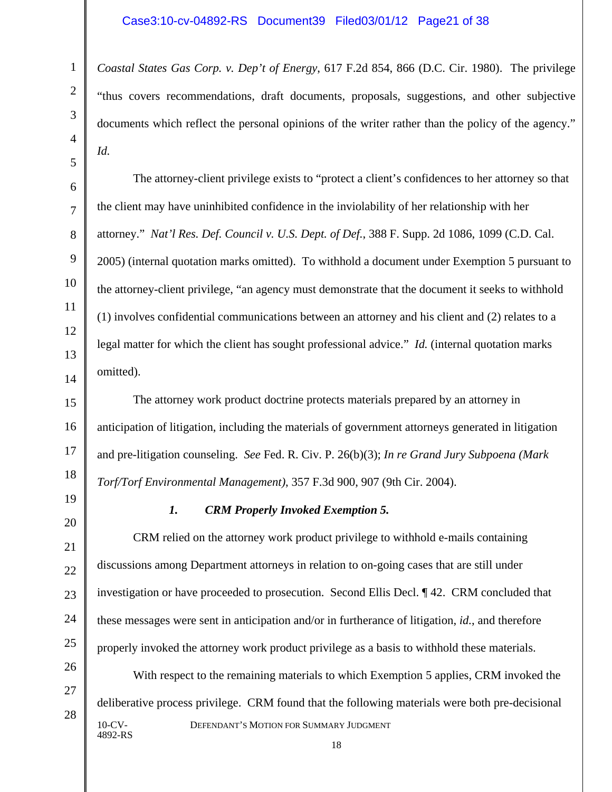### Case3:10-cv-04892-RS Document39 Filed03/01/12 Page21 of 38

*Coastal States Gas Corp. v. Dep't of Energy*, 617 F.2d 854, 866 (D.C. Cir. 1980). The privilege "thus covers recommendations, draft documents, proposals, suggestions, and other subjective documents which reflect the personal opinions of the writer rather than the policy of the agency." *Id.*

The attorney-client privilege exists to "protect a client's confidences to her attorney so that the client may have uninhibited confidence in the inviolability of her relationship with her attorney." *Nat'l Res. Def. Council v. U.S. Dept. of Def.*, 388 F. Supp. 2d 1086, 1099 (C.D. Cal. 2005) (internal quotation marks omitted). To withhold a document under Exemption 5 pursuant to the attorney-client privilege, "an agency must demonstrate that the document it seeks to withhold (1) involves confidential communications between an attorney and his client and (2) relates to a legal matter for which the client has sought professional advice." *Id.* (internal quotation marks omitted).

The attorney work product doctrine protects materials prepared by an attorney in anticipation of litigation, including the materials of government attorneys generated in litigation and pre-litigation counseling. *See* Fed. R. Civ. P. 26(b)(3); *In re Grand Jury Subpoena (Mark Torf/Torf Environmental Management)*, 357 F.3d 900, 907 (9th Cir. 2004).

# *1. CRM Properly Invoked Exemption 5.*

CRM relied on the attorney work product privilege to withhold e-mails containing discussions among Department attorneys in relation to on-going cases that are still under investigation or have proceeded to prosecution. Second Ellis Decl. ¶ 42. CRM concluded that these messages were sent in anticipation and/or in furtherance of litigation, *id.*, and therefore properly invoked the attorney work product privilege as a basis to withhold these materials.

10-CV- DEFENDANT'S MOTION FOR SUMMARY JUDGMENT 4892-RS With respect to the remaining materials to which Exemption 5 applies, CRM invoked the deliberative process privilege. CRM found that the following materials were both pre-decisional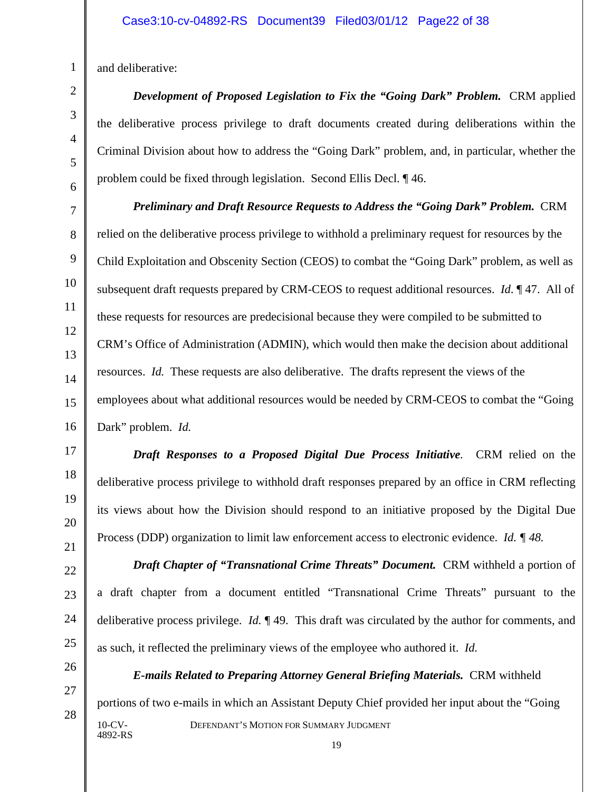and deliberative:

*Development of Proposed Legislation to Fix the "Going Dark" Problem.* CRM applied the deliberative process privilege to draft documents created during deliberations within the Criminal Division about how to address the "Going Dark" problem, and, in particular, whether the problem could be fixed through legislation. Second Ellis Decl. ¶ 46.

*Preliminary and Draft Resource Requests to Address the "Going Dark" Problem.* CRM relied on the deliberative process privilege to withhold a preliminary request for resources by the Child Exploitation and Obscenity Section (CEOS) to combat the "Going Dark" problem, as well as subsequent draft requests prepared by CRM-CEOS to request additional resources. *Id*. ¶ 47. All of these requests for resources are predecisional because they were compiled to be submitted to CRM's Office of Administration (ADMIN), which would then make the decision about additional resources. *Id.* These requests are also deliberative. The drafts represent the views of the employees about what additional resources would be needed by CRM-CEOS to combat the "Going Dark" problem. *Id.*

*Draft Responses to a Proposed Digital Due Process Initiative.* CRM relied on the deliberative process privilege to withhold draft responses prepared by an office in CRM reflecting its views about how the Division should respond to an initiative proposed by the Digital Due Process (DDP) organization to limit law enforcement access to electronic evidence. *Id. ¶ 48.*

**Draft Chapter of "Transnational Crime Threats" Document.** CRM withheld a portion of a draft chapter from a document entitled "Transnational Crime Threats" pursuant to the deliberative process privilege. *Id.* ¶ 49. This draft was circulated by the author for comments, and as such, it reflected the preliminary views of the employee who authored it. *Id.* 

10-CV- DEFENDANT'S MOTION FOR SUMMARY JUDGMENT 4892-RS *E-mails Related to Preparing Attorney General Briefing Materials.* CRM withheld portions of two e-mails in which an Assistant Deputy Chief provided her input about the "Going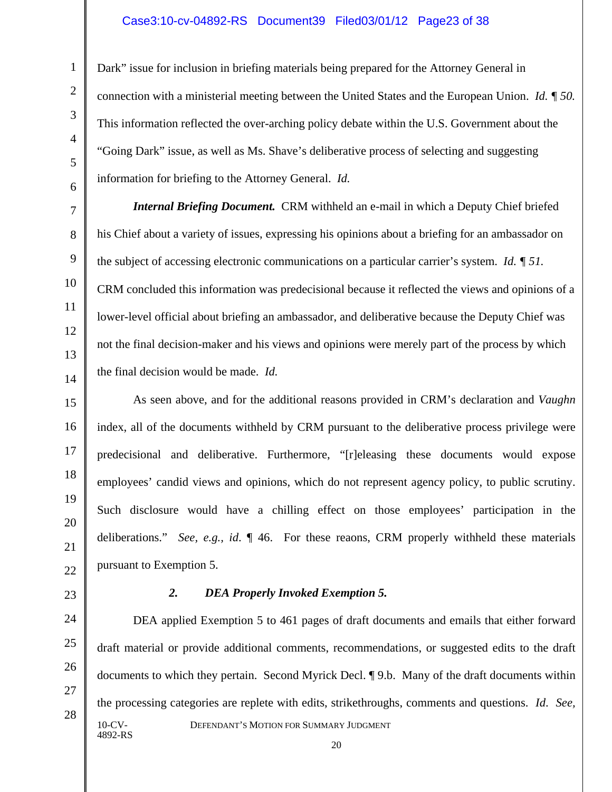#### Case3:10-cv-04892-RS Document39 Filed03/01/12 Page23 of 38

Dark" issue for inclusion in briefing materials being prepared for the Attorney General in connection with a ministerial meeting between the United States and the European Union. *Id. ¶ 50.*  This information reflected the over-arching policy debate within the U.S. Government about the "Going Dark" issue, as well as Ms. Shave's deliberative process of selecting and suggesting information for briefing to the Attorney General. *Id.* 

*Internal Briefing Document.* CRM withheld an e-mail in which a Deputy Chief briefed his Chief about a variety of issues, expressing his opinions about a briefing for an ambassador on the subject of accessing electronic communications on a particular carrier's system. *Id. ¶ 51.*  CRM concluded this information was predecisional because it reflected the views and opinions of a lower-level official about briefing an ambassador, and deliberative because the Deputy Chief was not the final decision-maker and his views and opinions were merely part of the process by which the final decision would be made. *Id.*

As seen above, and for the additional reasons provided in CRM's declaration and *Vaughn* index, all of the documents withheld by CRM pursuant to the deliberative process privilege were predecisional and deliberative. Furthermore, "[r]eleasing these documents would expose employees' candid views and opinions, which do not represent agency policy, to public scrutiny. Such disclosure would have a chilling effect on those employees' participation in the deliberations." *See, e.g., id*. ¶ 46. For these reaons, CRM properly withheld these materials pursuant to Exemption 5.

#### *2. DEA Properly Invoked Exemption 5.*

10-CV- DEFENDANT'S MOTION FOR SUMMARY JUDGMENT 4892-RS DEA applied Exemption 5 to 461 pages of draft documents and emails that either forward draft material or provide additional comments, recommendations, or suggested edits to the draft documents to which they pertain. Second Myrick Decl. ¶ 9.b. Many of the draft documents within the processing categories are replete with edits, strikethroughs, comments and questions. *Id*.*See,*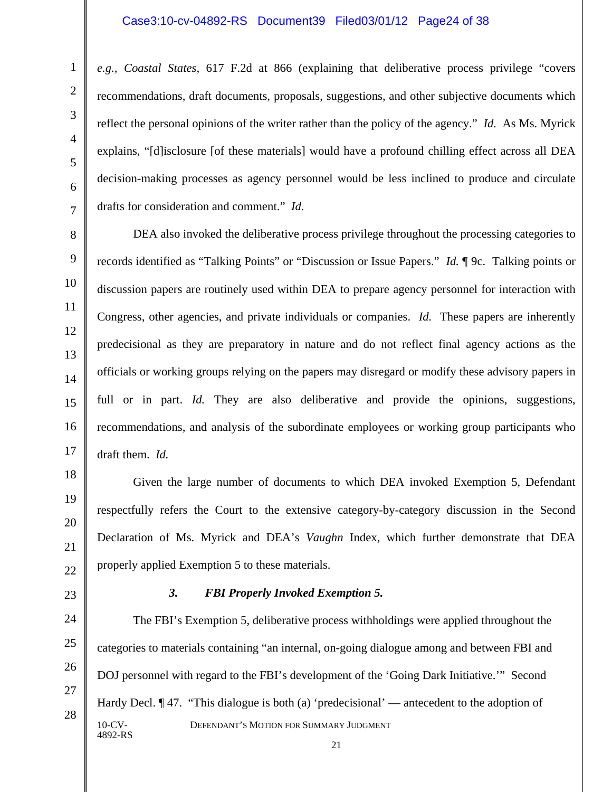#### Case3:10-cv-04892-RS Document39 Filed03/01/12 Page24 of 38

*e.g., Coastal States*, 617 F.2d at 866 (explaining that deliberative process privilege "covers recommendations, draft documents, proposals, suggestions, and other subjective documents which reflect the personal opinions of the writer rather than the policy of the agency." *Id.* As Ms. Myrick explains, "[d]isclosure [of these materials] would have a profound chilling effect across all DEA decision-making processes as agency personnel would be less inclined to produce and circulate drafts for consideration and comment." *Id.*

DEA also invoked the deliberative process privilege throughout the processing categories to records identified as "Talking Points" or "Discussion or Issue Papers." *Id.* ¶ 9c. Talking points or discussion papers are routinely used within DEA to prepare agency personnel for interaction with Congress, other agencies, and private individuals or companies. *Id.* These papers are inherently predecisional as they are preparatory in nature and do not reflect final agency actions as the officials or working groups relying on the papers may disregard or modify these advisory papers in full or in part. *Id*. They are also deliberative and provide the opinions, suggestions, recommendations, and analysis of the subordinate employees or working group participants who draft them. *Id.*

Given the large number of documents to which DEA invoked Exemption 5, Defendant respectfully refers the Court to the extensive category-by-category discussion in the Second Declaration of Ms. Myrick and DEA's *Vaughn* Index, which further demonstrate that DEA properly applied Exemption 5 to these materials.

#### *3. FBI Properly Invoked Exemption 5.*

10-CV- DEFENDANT'S MOTION FOR SUMMARY JUDGMENT 4892-RS The FBI's Exemption 5, deliberative process withholdings were applied throughout the categories to materials containing "an internal, on-going dialogue among and between FBI and DOJ personnel with regard to the FBI's development of the 'Going Dark Initiative.'" Second Hardy Decl. ¶ 47. "This dialogue is both (a) 'predecisional' — antecedent to the adoption of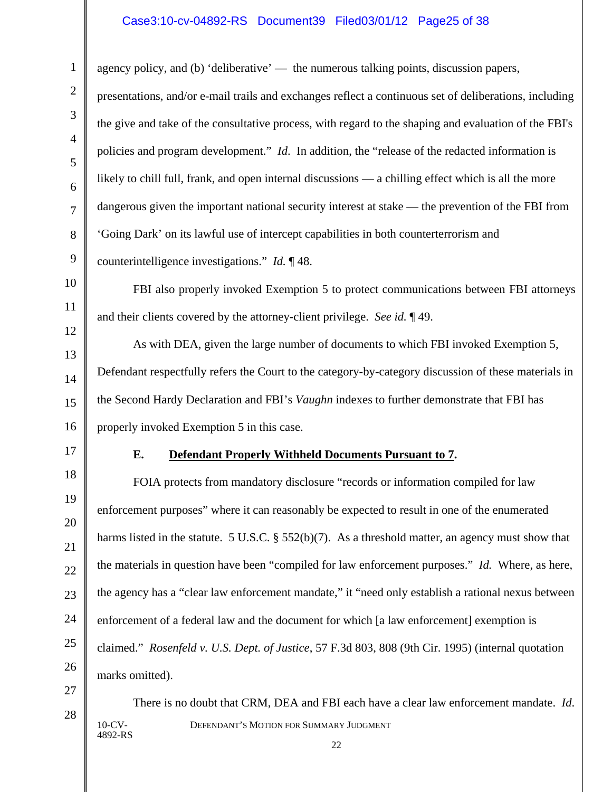### Case3:10-cv-04892-RS Document39 Filed03/01/12 Page25 of 38

agency policy, and (b) 'deliberative' — the numerous talking points, discussion papers, presentations, and/or e-mail trails and exchanges reflect a continuous set of deliberations, including the give and take of the consultative process, with regard to the shaping and evaluation of the FBI's policies and program development." *Id*. In addition, the "release of the redacted information is likely to chill full, frank, and open internal discussions — a chilling effect which is all the more dangerous given the important national security interest at stake — the prevention of the FBI from 'Going Dark' on its lawful use of intercept capabilities in both counterterrorism and counterintelligence investigations." *Id.* ¶ 48.

FBI also properly invoked Exemption 5 to protect communications between FBI attorneys and their clients covered by the attorney-client privilege. *See id.* ¶ 49.

As with DEA, given the large number of documents to which FBI invoked Exemption 5, Defendant respectfully refers the Court to the category-by-category discussion of these materials in the Second Hardy Declaration and FBI's *Vaughn* indexes to further demonstrate that FBI has properly invoked Exemption 5 in this case.

#### **E. Defendant Properly Withheld Documents Pursuant to 7.**

FOIA protects from mandatory disclosure "records or information compiled for law enforcement purposes" where it can reasonably be expected to result in one of the enumerated harms listed in the statute. 5 U.S.C. § 552(b)(7). As a threshold matter, an agency must show that the materials in question have been "compiled for law enforcement purposes." *Id.* Where, as here, the agency has a "clear law enforcement mandate," it "need only establish a rational nexus between enforcement of a federal law and the document for which [a law enforcement] exemption is claimed." *Rosenfeld v. U.S. Dept. of Justice*, 57 F.3d 803, 808 (9th Cir. 1995) (internal quotation marks omitted).

10-CV- DEFENDANT'S MOTION FOR SUMMARY JUDGMENT 4892-RS There is no doubt that CRM, DEA and FBI each have a clear law enforcement mandate. *Id*.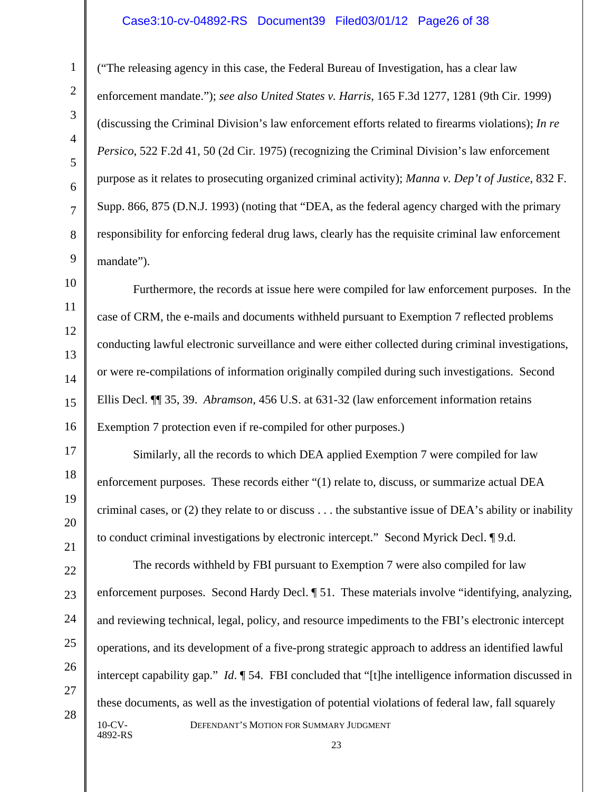#### Case3:10-cv-04892-RS Document39 Filed03/01/12 Page26 of 38

("The releasing agency in this case, the Federal Bureau of Investigation, has a clear law enforcement mandate."); *see also United States v. Harris*, 165 F.3d 1277, 1281 (9th Cir. 1999) (discussing the Criminal Division's law enforcement efforts related to firearms violations); *In re Persico*, 522 F.2d 41, 50 (2d Cir. 1975) (recognizing the Criminal Division's law enforcement purpose as it relates to prosecuting organized criminal activity); *Manna v. Dep't of Justice*, 832 F. Supp. 866, 875 (D.N.J. 1993) (noting that "DEA, as the federal agency charged with the primary responsibility for enforcing federal drug laws, clearly has the requisite criminal law enforcement mandate").

Furthermore, the records at issue here were compiled for law enforcement purposes.In the case of CRM, the e-mails and documents withheld pursuant to Exemption 7 reflected problems conducting lawful electronic surveillance and were either collected during criminal investigations, or were re-compilations of information originally compiled during such investigations. Second Ellis Decl. ¶¶ 35, 39. *Abramson*, 456 U.S. at 631-32 (law enforcement information retains Exemption 7 protection even if re-compiled for other purposes.)

Similarly, all the records to which DEA applied Exemption 7 were compiled for law enforcement purposes. These records either "(1) relate to, discuss, or summarize actual DEA criminal cases, or (2) they relate to or discuss . . . the substantive issue of DEA's ability or inability to conduct criminal investigations by electronic intercept." Second Myrick Decl. ¶ 9.d.

10-CV- DEFENDANT'S MOTION FOR SUMMARY JUDGMENT 4892-RS The records withheld by FBI pursuant to Exemption 7 were also compiled for law enforcement purposes. Second Hardy Decl. ¶ 51. These materials involve "identifying, analyzing, and reviewing technical, legal, policy, and resource impediments to the FBI's electronic intercept operations, and its development of a five-prong strategic approach to address an identified lawful intercept capability gap." *Id*. ¶ 54. FBI concluded that "[t]he intelligence information discussed in these documents, as well as the investigation of potential violations of federal law, fall squarely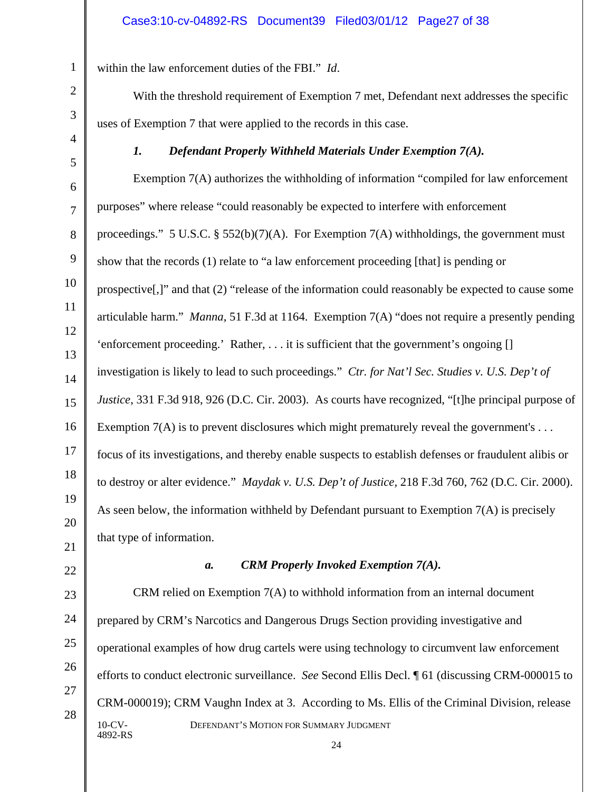within the law enforcement duties of the FBI." *Id*.

With the threshold requirement of Exemption 7 met, Defendant next addresses the specific uses of Exemption 7 that were applied to the records in this case.

*1. Defendant Properly Withheld Materials Under Exemption 7(A).*

Exemption 7(A) authorizes the withholding of information "compiled for law enforcement purposes" where release "could reasonably be expected to interfere with enforcement proceedings." 5 U.S.C. § 552(b)(7)(A). For Exemption 7(A) withholdings, the government must show that the records (1) relate to "a law enforcement proceeding [that] is pending or prospective[,]" and that (2) "release of the information could reasonably be expected to cause some articulable harm." *Manna*, 51 F.3d at 1164. Exemption 7(A) "does not require a presently pending 'enforcement proceeding.' Rather, . . . it is sufficient that the government's ongoing [] investigation is likely to lead to such proceedings." *Ctr. for Nat'l Sec. Studies v. U.S. Dep't of Justice*, 331 F.3d 918, 926 (D.C. Cir. 2003). As courts have recognized, "[t]he principal purpose of Exemption  $7(A)$  is to prevent disclosures which might prematurely reveal the government's ... focus of its investigations, and thereby enable suspects to establish defenses or fraudulent alibis or to destroy or alter evidence." *Maydak v. U.S. Dep't of Justice,* 218 F.3d 760, 762 (D.C. Cir. 2000). As seen below, the information withheld by Defendant pursuant to Exemption 7(A) is precisely that type of information.

#### *a. CRM Properly Invoked Exemption 7(A).*

10-CV- DEFENDANT'S MOTION FOR SUMMARY JUDGMENT 4892-RS CRM relied on Exemption  $7(A)$  to withhold information from an internal document prepared by CRM's Narcotics and Dangerous Drugs Section providing investigative and operational examples of how drug cartels were using technology to circumvent law enforcement efforts to conduct electronic surveillance. *See* Second Ellis Decl. ¶ 61 (discussing CRM-000015 to CRM-000019); CRM Vaughn Index at 3. According to Ms. Ellis of the Criminal Division, release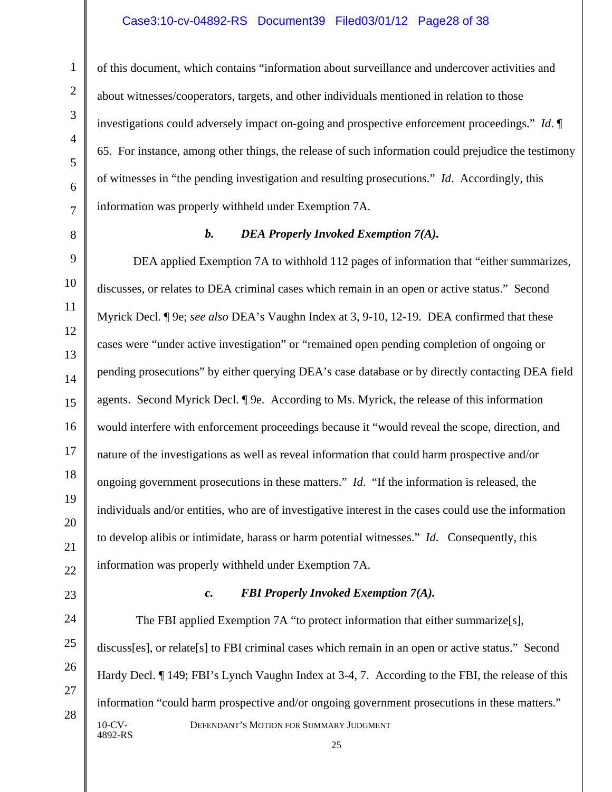#### Case3:10-cv-04892-RS Document39 Filed03/01/12 Page28 of 38

of this document, which contains "information about surveillance and undercover activities and about witnesses/cooperators, targets, and other individuals mentioned in relation to those investigations could adversely impact on-going and prospective enforcement proceedings." *Id*. ¶ 65. For instance, among other things, the release of such information could prejudice the testimony of witnesses in "the pending investigation and resulting prosecutions." *Id*. Accordingly, this information was properly withheld under Exemption 7A.

1

#### *b. DEA Properly Invoked Exemption 7(A).*

DEA applied Exemption 7A to withhold 112 pages of information that "either summarizes, discusses, or relates to DEA criminal cases which remain in an open or active status." Second Myrick Decl. ¶ 9e; *see also* DEA's Vaughn Index at 3, 9-10, 12-19. DEA confirmed that these cases were "under active investigation" or "remained open pending completion of ongoing or pending prosecutions" by either querying DEA's case database or by directly contacting DEA field agents. Second Myrick Decl. ¶ 9e*.* According to Ms. Myrick, the release of this information would interfere with enforcement proceedings because it "would reveal the scope, direction, and nature of the investigations as well as reveal information that could harm prospective and/or ongoing government prosecutions in these matters." *Id*. "If the information is released, the individuals and/or entities, who are of investigative interest in the cases could use the information to develop alibis or intimidate, harass or harm potential witnesses." *Id*. Consequently, this information was properly withheld under Exemption 7A.

#### *c. FBI Properly Invoked Exemption 7(A).*

10-CV- DEFENDANT'S MOTION FOR SUMMARY JUDGMENT 4892-RS The FBI applied Exemption 7A "to protect information that either summarize[s], discuss[es], or relate[s] to FBI criminal cases which remain in an open or active status." Second Hardy Decl. ¶ 149; FBI's Lynch Vaughn Index at 3-4, 7. According to the FBI, the release of this information "could harm prospective and/or ongoing government prosecutions in these matters."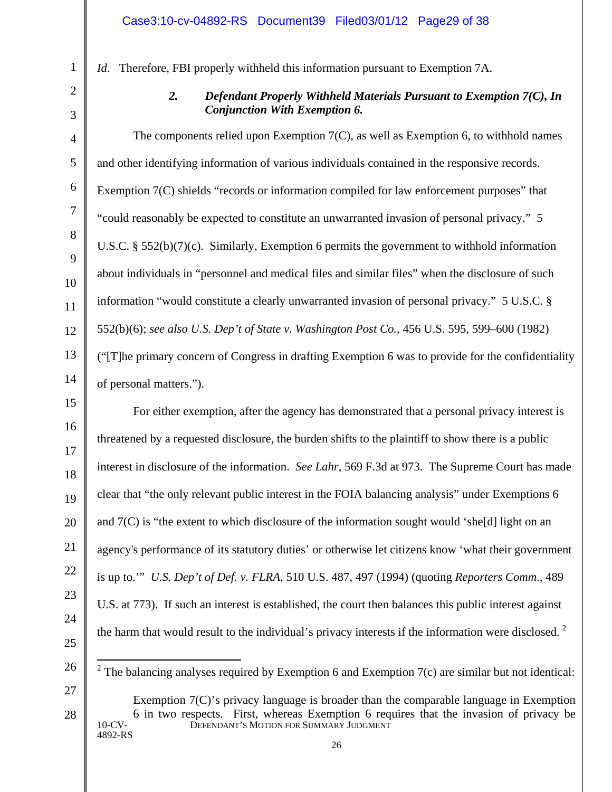*Id*. Therefore, FBI properly withheld this information pursuant to Exemption 7A.

*2. Defendant Properly Withheld Materials Pursuant to Exemption 7(C), In Conjunction With Exemption 6.* 

The components relied upon Exemption 7(C), as well as Exemption 6, to withhold names and other identifying information of various individuals contained in the responsive records. Exemption 7(C) shields "records or information compiled for law enforcement purposes" that "could reasonably be expected to constitute an unwarranted invasion of personal privacy." 5 U.S.C. § 552(b)(7)(c). Similarly, Exemption 6 permits the government to withhold information about individuals in "personnel and medical files and similar files" when the disclosure of such information "would constitute a clearly unwarranted invasion of personal privacy." 5 U.S.C. § 552(b)(6); *see also U.S. Dep't of State v. Washington Post Co.,* 456 U.S. 595, 599–600 (1982) ("[T]he primary concern of Congress in drafting Exemption 6 was to provide for the confidentiality of personal matters.").

For either exemption, after the agency has demonstrated that a personal privacy interest is threatened by a requested disclosure, the burden shifts to the plaintiff to show there is a public interest in disclosure of the information. *See Lahr*, 569 F.3d at 973. The Supreme Court has made clear that "the only relevant public interest in the FOIA balancing analysis" under Exemptions 6 and 7(C) is "the extent to which disclosure of the information sought would 'she[d] light on an agency's performance of its statutory duties' or otherwise let citizens know 'what their government is up to.'" *U.S. Dep't of Def. v. FLRA*, 510 U.S. 487, 497 (1994) (quoting *Reporters Comm*., 489 U.S. at 773). If such an interest is established, the court then balances this public interest against the harm that would result to the individual's privacy interests if the information were disclosed.  $2^2$  $2^2$ 

<span id="page-28-0"></span>26 27

28

25

 $2$  The balancing analyses required by Exemption 6 and Exemption 7(c) are similar but not identical:

10-CV- DEFENDANT'S MOTION FOR SUMMARY JUDGMENT 4892-RS Exemption 7(C)'s privacy language is broader than the comparable language in Exemption 6 in two respects. First, whereas Exemption 6 requires that the invasion of privacy be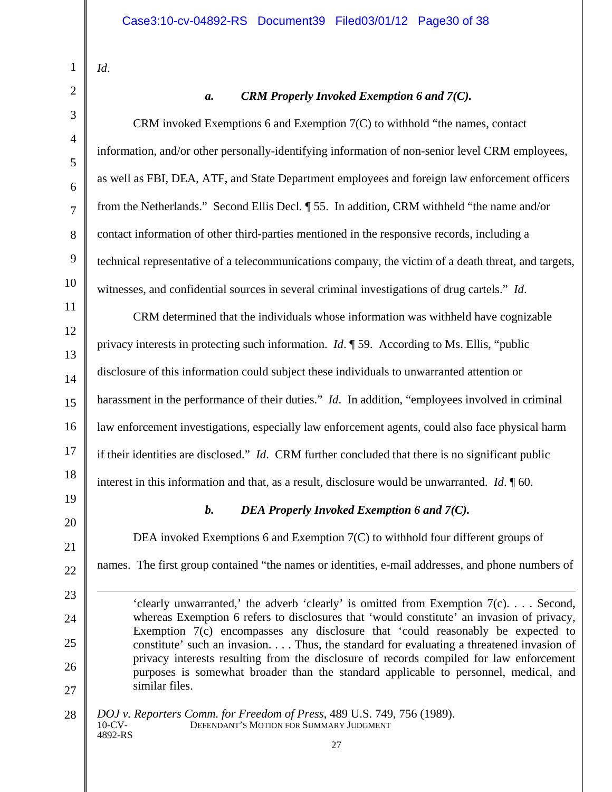*Id*.

# 1  $\mathfrak{D}$ 3 4 5 6 7 8 9 10 11 12 13 14 15 16 17 18 19 20 21 22 23  $24$ 25 26 27 28

 $\overline{a}$ 

# *a. CRM Properly Invoked Exemption 6 and 7(C).*

CRM invoked Exemptions 6 and Exemption 7(C) to withhold "the names, contact information, and/or other personally-identifying information of non-senior level CRM employees, as well as FBI, DEA, ATF, and State Department employees and foreign law enforcement officers from the Netherlands." Second Ellis Decl. ¶ 55. In addition, CRM withheld "the name and/or contact information of other third-parties mentioned in the responsive records, including a technical representative of a telecommunications company, the victim of a death threat, and targets, witnesses, and confidential sources in several criminal investigations of drug cartels." *Id*.

CRM determined that the individuals whose information was withheld have cognizable privacy interests in protecting such information. *Id*. ¶ 59. According to Ms. Ellis, "public disclosure of this information could subject these individuals to unwarranted attention or harassment in the performance of their duties." *Id*. In addition, "employees involved in criminal law enforcement investigations, especially law enforcement agents, could also face physical harm if their identities are disclosed." *Id*. CRM further concluded that there is no significant public interest in this information and that, as a result, disclosure would be unwarranted. *Id*. ¶ 60.

# *b. DEA Properly Invoked Exemption 6 and 7(C).*

DEA invoked Exemptions 6 and Exemption 7(C) to withhold four different groups of

names. The first group contained "the names or identities, e-mail addresses, and phone numbers of

'clearly unwarranted,' the adverb 'clearly' is omitted from Exemption 7(c). . . . Second, whereas Exemption 6 refers to disclosures that 'would constitute' an invasion of privacy, Exemption 7(c) encompasses any disclosure that 'could reasonably be expected to constitute' such an invasion. . . . Thus, the standard for evaluating a threatened invasion of privacy interests resulting from the disclosure of records compiled for law enforcement purposes is somewhat broader than the standard applicable to personnel, medical, and similar files.

10-CV- DEFENDANT'S MOTION FOR SUMMARY JUDGMENT 4892-RS *DOJ v. Reporters Comm. for Freedom of Press*, 489 U.S. 749, 756 (1989).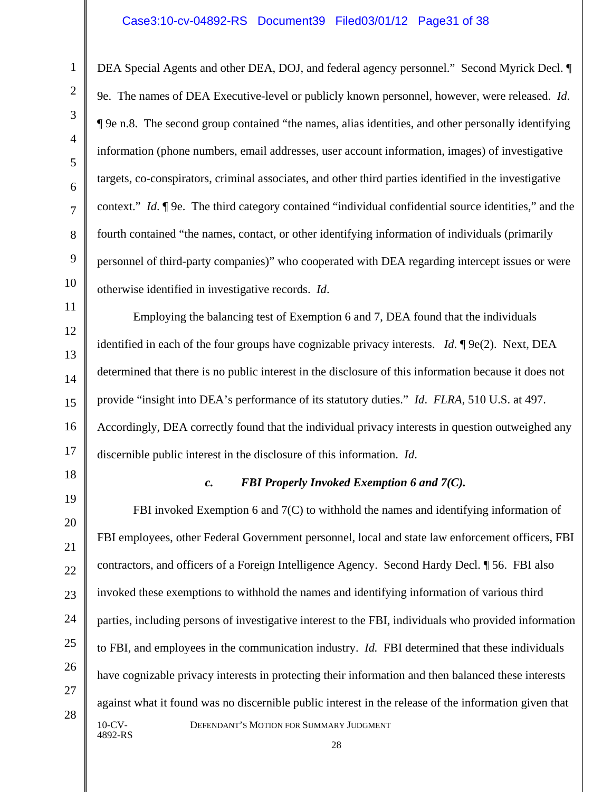#### Case3:10-cv-04892-RS Document39 Filed03/01/12 Page31 of 38

DEA Special Agents and other DEA, DOJ, and federal agency personnel." Second Myrick Decl. ¶ 9e. The names of DEA Executive-level or publicly known personnel, however, were released. *Id*. ¶ 9e n.8. The second group contained "the names, alias identities, and other personally identifying information (phone numbers, email addresses, user account information, images) of investigative targets, co-conspirators, criminal associates, and other third parties identified in the investigative context." *Id*. ¶ 9e. The third category contained "individual confidential source identities," and the fourth contained "the names, contact, or other identifying information of individuals (primarily personnel of third-party companies)" who cooperated with DEA regarding intercept issues or were otherwise identified in investigative records. *Id*.

16 Employing the balancing test of Exemption 6 and 7, DEA found that the individuals identified in each of the four groups have cognizable privacy interests. *Id*. ¶ 9e(2). Next, DEA determined that there is no public interest in the disclosure of this information because it does not provide "insight into DEA's performance of its statutory duties." *Id*. *FLRA*, 510 U.S. at 497. Accordingly, DEA correctly found that the individual privacy interests in question outweighed any discernible public interest in the disclosure of this information. *Id*.

18 19

20

21

22

23

24

25

26

27

28

17

1

2

3

4

5

6

7

8

9

10

11

12

13

14

15

#### *c. FBI Properly Invoked Exemption 6 and 7(C).*

10-CV- DEFENDANT'S MOTION FOR SUMMARY JUDGMENT 4892-RS FBI invoked Exemption 6 and 7(C) to withhold the names and identifying information of FBI employees, other Federal Government personnel, local and state law enforcement officers, FBI contractors, and officers of a Foreign Intelligence Agency. Second Hardy Decl. ¶ 56. FBI also invoked these exemptions to withhold the names and identifying information of various third parties, including persons of investigative interest to the FBI, individuals who provided information to FBI, and employees in the communication industry. *Id.* FBI determined that these individuals have cognizable privacy interests in protecting their information and then balanced these interests against what it found was no discernible public interest in the release of the information given that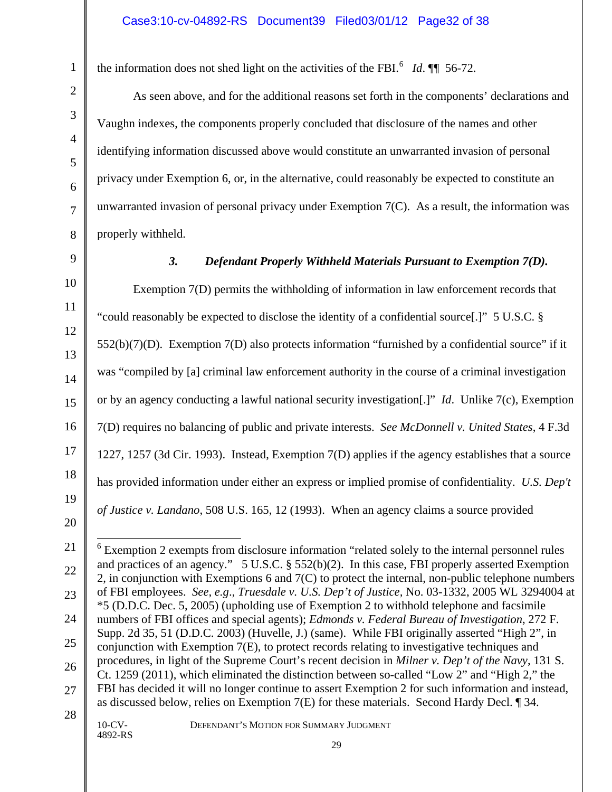the information does not shed light on the activities of the FBI.<sup>[6](#page-31-0)</sup> *Id*.  $\P$  56-72.

As seen above, and for the additional reasons set forth in the components' declarations and Vaughn indexes, the components properly concluded that disclosure of the names and other identifying information discussed above would constitute an unwarranted invasion of personal privacy under Exemption 6, or, in the alternative, could reasonably be expected to constitute an unwarranted invasion of personal privacy under Exemption 7(C). As a result, the information was properly withheld.

1

2

3

4

5

6

7

8

9

10

11

12

13

14

15

16

17

18

19

#### *3. Defendant Properly Withheld Materials Pursuant to Exemption 7(D).*

Exemption 7(D) permits the withholding of information in law enforcement records that "could reasonably be expected to disclose the identity of a confidential source[.]" 5 U.S.C. §  $552(b)(7)(D)$ . Exemption  $7(D)$  also protects information "furnished by a confidential source" if it was "compiled by [a] criminal law enforcement authority in the course of a criminal investigation or by an agency conducting a lawful national security investigation[.]" *Id*. Unlike 7(c), Exemption 7(D) requires no balancing of public and private interests. *See McDonnell v. United States*, 4 F.3d 1227, 1257 (3d Cir. 1993). Instead, Exemption 7(D) applies if the agency establishes that a source has provided information under either an express or implied promise of confidentiality. *U.S. Dep't of Justice v. Landano*, 508 U.S. 165, 12 (1993). When an agency claims a source provided

# 4892-RS

10-CV- DEFENDANT'S MOTION FOR SUMMARY JUDGMENT

<sup>20</sup> 21

<span id="page-31-0"></span><sup>22</sup> 23 24 25 26 27 28  $6$  Exemption 2 exempts from disclosure information "related solely to the internal personnel rules and practices of an agency." 5 U.S.C. § 552(b)(2). In this case, FBI properly asserted Exemption 2, in conjunction with Exemptions 6 and 7(C) to protect the internal, non-public telephone numbers of FBI employees. *See, e.g*., *Truesdale v. U.S. Dep't of Justice,* No. 03-1332, 2005 WL 3294004 at \*5 (D.D.C. Dec. 5, 2005) (upholding use of Exemption 2 to withhold telephone and facsimile numbers of FBI offices and special agents); *Edmonds v. Federal Bureau of Investigation*, 272 F. Supp. 2d 35, 51 (D.D.C. 2003) (Huvelle, J.) (same). While FBI originally asserted "High 2", in conjunction with Exemption 7(E), to protect records relating to investigative techniques and procedures, in light of the Supreme Court's recent decision in *Milner v. Dep't of the Navy*, 131 S. Ct. 1259 (2011), which eliminated the distinction between so-called "Low 2" and "High 2," the FBI has decided it will no longer continue to assert Exemption 2 for such information and instead, as discussed below, relies on Exemption 7(E) for these materials. Second Hardy Decl. ¶ 34.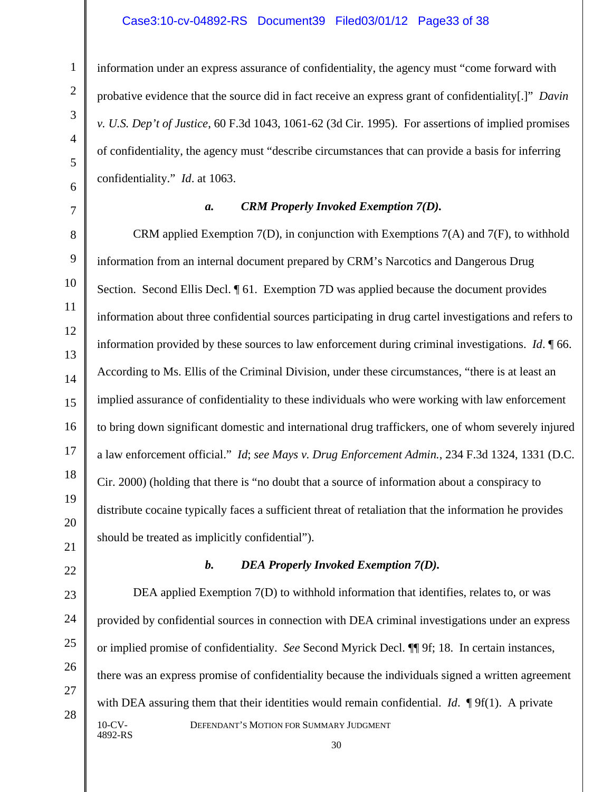#### Case3:10-cv-04892-RS Document39 Filed03/01/12 Page33 of 38

information under an express assurance of confidentiality, the agency must "come forward with probative evidence that the source did in fact receive an express grant of confidentiality[.]" *Davin v. U.S. Dep't of Justice*, 60 F.3d 1043, 1061-62 (3d Cir. 1995). For assertions of implied promises of confidentiality, the agency must "describe circumstances that can provide a basis for inferring confidentiality." *Id*. at 1063.

1

#### *a. CRM Properly Invoked Exemption 7(D).*

CRM applied Exemption 7(D), in conjunction with Exemptions 7(A) and 7(F), to withhold information from an internal document prepared by CRM's Narcotics and Dangerous Drug Section. Second Ellis Decl. ¶ 61. Exemption 7D was applied because the document provides information about three confidential sources participating in drug cartel investigations and refers to information provided by these sources to law enforcement during criminal investigations. *Id*. ¶ 66. According to Ms. Ellis of the Criminal Division, under these circumstances, "there is at least an implied assurance of confidentiality to these individuals who were working with law enforcement to bring down significant domestic and international drug traffickers, one of whom severely injured a law enforcement official." *Id*; *see Mays v. Drug Enforcement Admin.*, 234 F.3d 1324, 1331 (D.C. Cir. 2000) (holding that there is "no doubt that a source of information about a conspiracy to distribute cocaine typically faces a sufficient threat of retaliation that the information he provides should be treated as implicitly confidential").

#### *b. DEA Properly Invoked Exemption 7(D).*

10-CV- DEFENDANT'S MOTION FOR SUMMARY JUDGMENT 4892-RS DEA applied Exemption 7(D) to withhold information that identifies, relates to, or was provided by confidential sources in connection with DEA criminal investigations under an express or implied promise of confidentiality. *See* Second Myrick Decl. ¶¶ 9f; 18. In certain instances, there was an express promise of confidentiality because the individuals signed a written agreement with DEA assuring them that their identities would remain confidential. *Id*. **[9**f(1). A private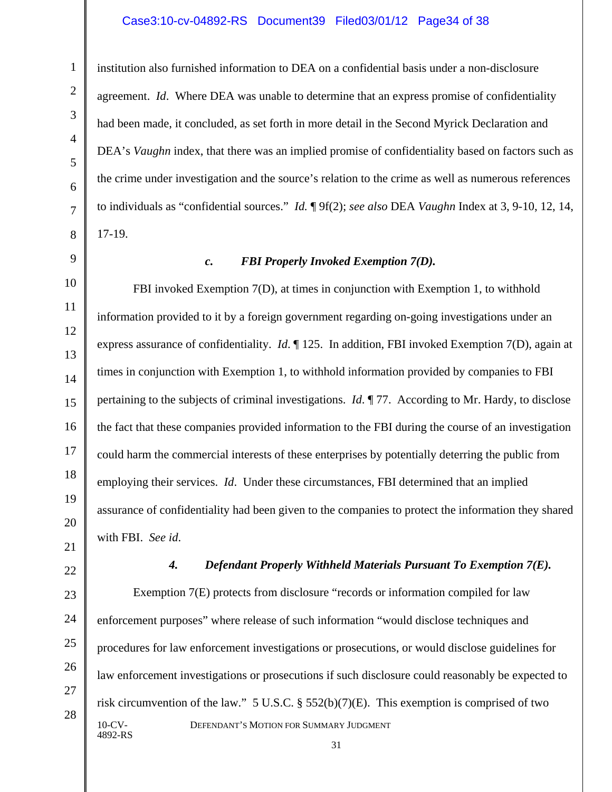#### Case3:10-cv-04892-RS Document39 Filed03/01/12 Page34 of 38

institution also furnished information to DEA on a confidential basis under a non-disclosure agreement. *Id*. Where DEA was unable to determine that an express promise of confidentiality had been made, it concluded, as set forth in more detail in the Second Myrick Declaration and DEA's *Vaughn* index, that there was an implied promise of confidentiality based on factors such as the crime under investigation and the source's relation to the crime as well as numerous references to individuals as "confidential sources." *Id.* ¶ 9f(2); *see also* DEA *Vaughn* Index at 3, 9-10, 12, 14, 17-19.

# *c. FBI Properly Invoked Exemption 7(D).*

FBI invoked Exemption 7(D), at times in conjunction with Exemption 1, to withhold information provided to it by a foreign government regarding on-going investigations under an express assurance of confidentiality. *Id*. ¶ 125. In addition, FBI invoked Exemption 7(D), again at times in conjunction with Exemption 1, to withhold information provided by companies to FBI pertaining to the subjects of criminal investigations. *Id*. ¶ 77. According to Mr. Hardy, to disclose the fact that these companies provided information to the FBI during the course of an investigation could harm the commercial interests of these enterprises by potentially deterring the public from employing their services. *Id*. Under these circumstances, FBI determined that an implied assurance of confidentiality had been given to the companies to protect the information they shared with FBI. *See id*.

*4. Defendant Properly Withheld Materials Pursuant To Exemption 7(E).*

10-CV- DEFENDANT'S MOTION FOR SUMMARY JUDGMENT 4892-RS Exemption 7(E) protects from disclosure "records or information compiled for law enforcement purposes" where release of such information "would disclose techniques and procedures for law enforcement investigations or prosecutions, or would disclose guidelines for law enforcement investigations or prosecutions if such disclosure could reasonably be expected to risk circumvention of the law." 5 U.S.C. § 552(b)(7)(E). This exemption is comprised of two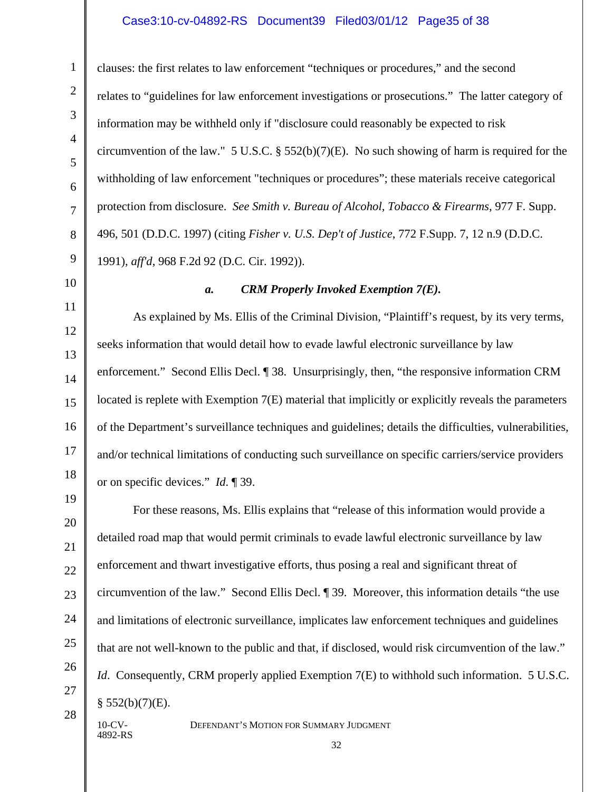#### Case3:10-cv-04892-RS Document39 Filed03/01/12 Page35 of 38

clauses: the first relates to law enforcement "techniques or procedures," and the second relates to "guidelines for law enforcement investigations or prosecutions." The latter category of information may be withheld only if "disclosure could reasonably be expected to risk circumvention of the law." 5 U.S.C. § 552(b)(7)(E). No such showing of harm is required for the withholding of law enforcement "techniques or procedures"; these materials receive categorical protection from disclosure. *See Smith v. Bureau of Alcohol, Tobacco & Firearms*, 977 F. Supp. 496, 501 (D.D.C. 1997) (citing *Fisher v. U.S. Dep't of Justice*, 772 F.Supp. 7, 12 n.9 (D.D.C. 1991), *aff'd*, 968 F.2d 92 (D.C. Cir. 1992)).

10 11

12

13

14

15

16

17

18

19

20

21

22

23

24

25

26

27

28

1

2

3

4

5

6

7

8

9

4892-RS

#### *a. CRM Properly Invoked Exemption 7(E).*

As explained by Ms. Ellis of the Criminal Division, "Plaintiff's request, by its very terms, seeks information that would detail how to evade lawful electronic surveillance by law enforcement." Second Ellis Decl. ¶ 38. Unsurprisingly, then, "the responsive information CRM located is replete with Exemption 7(E) material that implicitly or explicitly reveals the parameters of the Department's surveillance techniques and guidelines; details the difficulties, vulnerabilities, and/or technical limitations of conducting such surveillance on specific carriers/service providers or on specific devices." *Id*. ¶ 39.

For these reasons, Ms. Ellis explains that "release of this information would provide a detailed road map that would permit criminals to evade lawful electronic surveillance by law enforcement and thwart investigative efforts, thus posing a real and significant threat of circumvention of the law." Second Ellis Decl. ¶ 39. Moreover, this information details "the use and limitations of electronic surveillance, implicates law enforcement techniques and guidelines that are not well-known to the public and that, if disclosed, would risk circumvention of the law." *Id.* Consequently, CRM properly applied Exemption 7(E) to withhold such information. 5 U.S.C.  $§$  552(b)(7)(E).

32

10-CV- DEFENDANT'S MOTION FOR SUMMARY JUDGMENT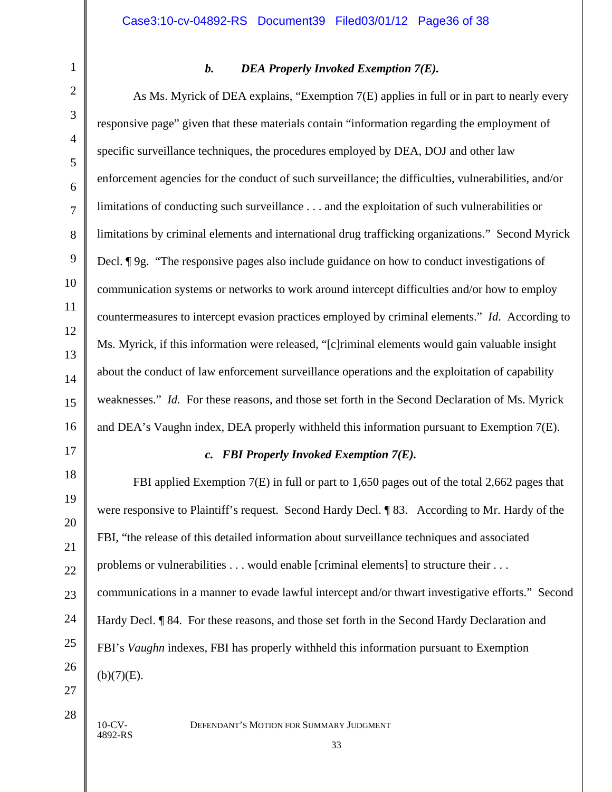# 1 2 3 4 5 6 7 8 9 10 11 12 13 14 15 16 17 18 19 20 21 22 23 24 25 26 27

# *b. DEA Properly Invoked Exemption 7(E).*

As Ms. Myrick of DEA explains, "Exemption 7(E) applies in full or in part to nearly every responsive page" given that these materials contain "information regarding the employment of specific surveillance techniques, the procedures employed by DEA, DOJ and other law enforcement agencies for the conduct of such surveillance; the difficulties, vulnerabilities, and/or limitations of conducting such surveillance . . . and the exploitation of such vulnerabilities or limitations by criminal elements and international drug trafficking organizations." Second Myrick Decl. ¶ 9g. "The responsive pages also include guidance on how to conduct investigations of communication systems or networks to work around intercept difficulties and/or how to employ countermeasures to intercept evasion practices employed by criminal elements." *Id*. According to Ms. Myrick, if this information were released, "[c]riminal elements would gain valuable insight about the conduct of law enforcement surveillance operations and the exploitation of capability weaknesses." *Id.* For these reasons, and those set forth in the Second Declaration of Ms. Myrick and DEA's Vaughn index, DEA properly withheld this information pursuant to Exemption 7(E).

#### *c. FBI Properly Invoked Exemption 7(E).*

FBI applied Exemption 7(E) in full or part to 1,650 pages out of the total 2,662 pages that were responsive to Plaintiff's request. Second Hardy Decl. ¶ 83. According to Mr. Hardy of the FBI, "the release of this detailed information about surveillance techniques and associated problems or vulnerabilities . . . would enable [criminal elements] to structure their . . . communications in a manner to evade lawful intercept and/or thwart investigative efforts." Second Hardy Decl. ¶ 84. For these reasons, and those set forth in the Second Hardy Declaration and FBI's *Vaughn* indexes, FBI has properly withheld this information pursuant to Exemption  $(b)(7)(E)$ .

4892-RS

28

10-CV- DEFENDANT'S MOTION FOR SUMMARY JUDGMENT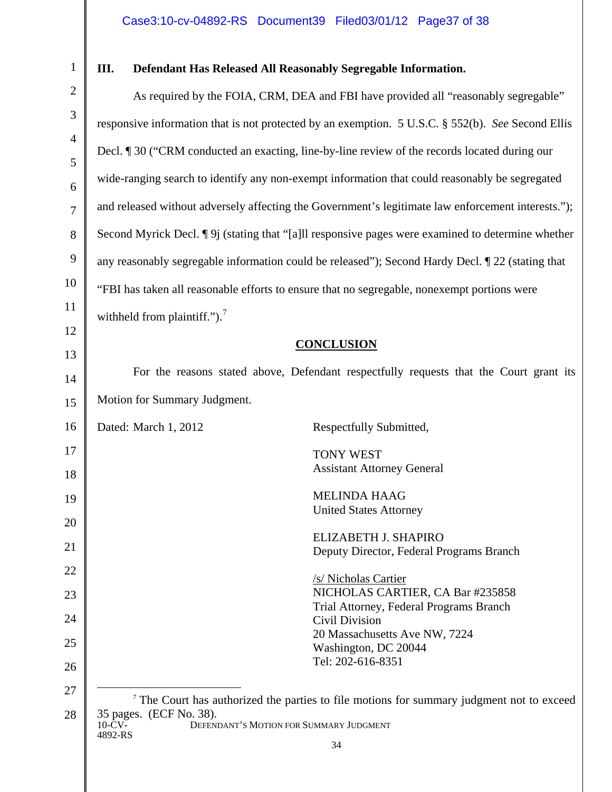# **III. Defendant Has Released All Reasonably Segregable Information.**

<span id="page-36-0"></span>

| $\mathbf{2}$   | As required by the FOIA, CRM, DEA and FBI have provided all "reasonably segregable"                                                                                                                |
|----------------|----------------------------------------------------------------------------------------------------------------------------------------------------------------------------------------------------|
| $\mathfrak{Z}$ | responsive information that is not protected by an exemption. 5 U.S.C. § 552(b). See Second Ellis                                                                                                  |
| $\overline{4}$ | Decl. ¶ 30 ("CRM conducted an exacting, line-by-line review of the records located during our                                                                                                      |
| 5<br>6         | wide-ranging search to identify any non-exempt information that could reasonably be segregated                                                                                                     |
| $\overline{7}$ | and released without adversely affecting the Government's legitimate law enforcement interests.");                                                                                                 |
| 8              | Second Myrick Decl. [9] (stating that "[a]ll responsive pages were examined to determine whether                                                                                                   |
| 9              | any reasonably segregable information could be released"); Second Hardy Decl. [22 (stating that                                                                                                    |
| 10             | "FBI has taken all reasonable efforts to ensure that no segregable, nonexempt portions were                                                                                                        |
| 11             | withheld from plaintiff."). $^7$                                                                                                                                                                   |
| 12             | <b>CONCLUSION</b>                                                                                                                                                                                  |
| 13             | For the reasons stated above, Defendant respectfully requests that the Court grant its                                                                                                             |
| 14             |                                                                                                                                                                                                    |
| 15             | Motion for Summary Judgment.                                                                                                                                                                       |
| 16             | Dated: March 1, 2012<br>Respectfully Submitted,                                                                                                                                                    |
| 17             | <b>TONY WEST</b>                                                                                                                                                                                   |
| 18             | <b>Assistant Attorney General</b>                                                                                                                                                                  |
| 19             | <b>MELINDA HAAG</b>                                                                                                                                                                                |
| 20             | <b>United States Attorney</b>                                                                                                                                                                      |
| 21             | ELIZABETH J. SHAPIRO<br>Deputy Director, Federal Programs Branch                                                                                                                                   |
| 22             |                                                                                                                                                                                                    |
| 23             | /s/ Nicholas Cartier<br>NICHOLAS CARTIER, CA Bar #235858                                                                                                                                           |
| 24             | Trial Attorney, Federal Programs Branch<br>Civil Division                                                                                                                                          |
| 25             | 20 Massachusetts Ave NW, 7224<br>Washington, DC 20044                                                                                                                                              |
| 26             | Tel: 202-616-8351                                                                                                                                                                                  |
| 27             |                                                                                                                                                                                                    |
| 28             | <sup>7</sup> The Court has authorized the parties to file motions for summary judgment not to exceed<br>35 pages. (ECF No. 38).<br>DEFENDANT'S MOTION FOR SUMMARY JUDGMENT<br>$10$ -CV-<br>4892-RS |